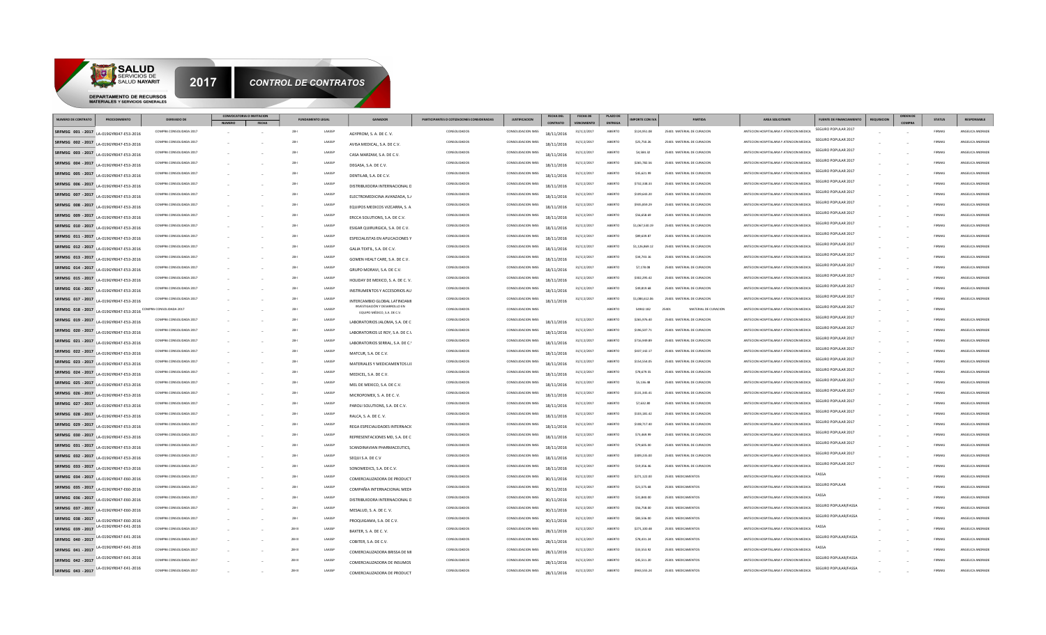

|                                        | SALUD NAYARIT                                                       | 2017                                               |                           | <b>CONTROL DE CONTRATOS</b>    |                                                               |                                           |                                          |                          |                                |                    |                            |                                                          |                                                                                    |                                                        |                    |                        |                                      |
|----------------------------------------|---------------------------------------------------------------------|----------------------------------------------------|---------------------------|--------------------------------|---------------------------------------------------------------|-------------------------------------------|------------------------------------------|--------------------------|--------------------------------|--------------------|----------------------------|----------------------------------------------------------|------------------------------------------------------------------------------------|--------------------------------------------------------|--------------------|------------------------|--------------------------------------|
|                                        | DEPARTAMENTO DE RECURSOS<br><b>MATERIALES Y SERVICIOS GENERALES</b> |                                                    |                           |                                |                                                               |                                           |                                          |                          |                                |                    |                            |                                                          |                                                                                    |                                                        |                    |                        |                                      |
|                                        |                                                                     |                                                    | CONVOCATORIA O INVITACION |                                |                                                               |                                           |                                          | <b>FECHA DEL</b>         | <b>FECHA DE</b>                | <b>PLAZO DE</b>    |                            |                                                          |                                                                                    |                                                        |                    |                        |                                      |
| <b>NUMERO DE CONTRATO</b>              | PROCEDIMIENTO                                                       | <b>DERIVADO DE</b>                                 | <b>FFCHA</b>              | <b>FUNDAMENTO LEGAL</b>        | GANADOR                                                       | PARTICIPANTES O COTIZACIONES CONSIDERADAS | <b>JUSTIFICACION</b>                     | CONTRATO                 | <b>VENCI</b>                   | <b>ENTRECA</b>     | <b>IMPORTE CON IVA</b>     | PARTIDA                                                  | AREA SOLICITANTE                                                                   | <b>FUENTE DE FINANCIAMIENTO</b><br>SEGURO POPULAR 2017 | <b>REQUISICION</b> | <b>STATUS</b>          | RESPONSABLE                          |
| SRFMSG 001 - 2017                      | LA-019GYR047-E53-2016                                               | COMPRA CONSOLIDADA 2017                            |                           | $28 - 1$<br>LAASS              | AGYPROM, S. A. DE C. V.                                       | CONSOLIDADO:                              | CONSOLIDACION IMSS                       | 18/11/2016               | $31/1$   2/2017                | ABIERTO            | \$124,951.08               | 25401 MATERIAL DE CURACION                               | ANTECION HOSPITALARIA Y ATENCION MEDICA                                            | SEGURO POPULAR 2017                                    |                    | FIRMAS                 | ANGELICA ANDRADI                     |
| SRFMSG 002 - 2017                      | LA-019GYR047-F53-2016                                               | COMPRA CONSOLIDADA 2017                            |                           | LAASSP<br>$28 - 1$             | AVISA MEDICAL, S.A. DE C.V.                                   | CONSOLIDADOS                              | CONSOLIDACION IMSS                       | 18/11/2016               | $31/1$   2/2017                | ABIERTO            | \$25,750.26                | 25401 MATERIAL DE CURACION                               | ANTECION HOSPITALARIA Y ATENCION MEDICA                                            | SEGURO POPULAR 2017                                    |                    | FIRMAS                 | ANGELICA ANDRADE                     |
| SRFMSG 003 - 2017                      | LA-019GYR047-E53-2016                                               | COMPRA CONSOLIDADA 2017                            |                           | $28 - 1$<br>LAASSI             | CASA MARZAM, S.A. DE C.V.                                     | CONSOLIDADOS                              | CONSOLIDACION IMSS                       | 18/11/2016               | $31/1$   2/2017                | ABIERTO            | \$4,584.32                 | 25401 MATERIAL DE CURACION                               | ANTECION HOSPITALARIA Y ATENCION MEDICA                                            | SEGURO POPULAR 2017                                    |                    | FIRMAS                 | ANGELICA ANDRADE                     |
| SRFMSG 004 - 2017                      | LA-019GYR047-E53-2016                                               | COMPRA CONSOLIDADA 2017                            |                           | $28 - 1$<br>LAASSI             | DEGASA, S.A. DE C.V.                                          | CONSOLIDADOS                              | CONSOLIDACION IMSS                       | 18/11/2016               | 31/1 2/2017                    | ABIERTO            | \$265,782.56               | 25401 MATERIAL DE CURACION                               | ANTECION HOSPITALARIA Y ATENCION MEDICA                                            | SEGURO POPULAR 2017                                    |                    | FIRMAS                 | ANGELICA ANDRADE                     |
| SRFMSG 005 - 2017                      | LA-019GYR047-F53-2016                                               | COMPRA CONSOLIDADA 2017                            |                           | $28 - 1$<br>LAASSI             | DENTILAB, S.A. DE C.V.                                        | CONSOLIDADOS                              | CONSOLIDACION IMSS                       | 18/11/2016               | $31/1$   2/2017                | ABIERTO            | \$45,621.99                | 25401 MATERIAL DE CURACION                               | ANTECION HOSPITALARIA Y ATENCION MEDICA                                            | SEGURO POPULAR 2017                                    |                    | FIRMAS                 | ANGELICA ANDRADI                     |
| SRFMSG 006 - 2017                      | LA-019GYR047-F53-2016                                               | COMPRA CONSOLIDADA 2017                            |                           | $28 - 1$<br>LAASSI             | DISTRIBUIDORA INTERNACIONAL D                                 | CONSOLIDADOS                              | CONSOLIDACION IMSS                       | 18/11/2016               | $31/1$   2/2017                | ABIERTO            | \$732,338.33               | 25401 MATERIAL DE CURACION                               | ANTECION HOSPITALARIA Y ATENCION MEDICA                                            | SEGURO POPULAR 2017                                    |                    | FIRMAS                 | ANGELICA ANDRAD                      |
| SRFMSG 007 - 2017                      | LA-019GYR047-E53-2016                                               | COMPRA CONSOLIDADA 2017                            |                           | $28 - 1$<br>LAASSI             | ELECTROMEDICINA AVANZADA, S.J.                                | CONSOLIDADOS                              | CONSOLIDACION IMSS                       | 18/11/2016               | 31/1 2/2017                    | ABIERTO            | \$109,643.20               | 25401 MATERIAL DE CURACION                               | ANTECION HOSPITALARIA Y ATENCION MEDICA                                            | SEGURO POPULAR 2017                                    |                    | FIRMAS                 | ANGELICA ANDRADE                     |
| SRFMSG 008 - 2017                      | LA-019GYR047-E53-2016                                               | COMPRA CONSOLIDADA 2017                            |                           | $28 - 1$<br>LAASSI             | EQUIPOS MEDICOS VIZCARRA, S. A.                               | CONSOLIDADOS                              | CONSOLIDACION IMSS                       | 18/11/2016               | $31/1$   2/2017                | ARIFRTO            | \$935,859.29               | 25401 MATERIAL DE CURACION                               | ANTECION HOSPITALARIA Y ATENCION MEDICA                                            | SEGURO POPULAR 2017                                    |                    | FIRMAS                 | ANGELICA ANDRADE                     |
| SRFMSG 009 - 2017                      | LA-019GYR047-E53-2016                                               | COMPRA CONSOLIDADA 2017                            |                           | $28 - 1$<br>LAASSI             | ERCCA SOLUTIONS, S.A. DE C.V.                                 | CONSOLIDADOS                              | CONSOLIDACION IMSS                       | 18/11/2016               | 31/1 2/2017                    | ABIERTO            | \$56,658.69                | 25401 MATERIAL DE CURACION                               | ANTECION HOSPITALARIA Y ATENCION MEDICA                                            | SEGURO POPULAR 2017                                    |                    | FIRMAS                 | ANGELICA ANDRADE                     |
| SRFMSG 010 - 2017                      | LA-019GYR047-E53-2016                                               | COMPRA CONSOLIDADA 2017                            |                           | $28 - 1$<br>LAASSI             | ESIGAR QUIRURGICA, S.A. DE C.V.                               | CONSOLIDADOS                              | CONSOLIDACION IMSS                       | 18/11/2016               | $31/1$   2/2017                | ABIERTO            | \$1,067,530.19             | 25401 MATERIAL DE CURACION                               | ANTECION HOSPITALARIA Y ATENCION MEDICA                                            | SEGURO POPULAR 2017                                    |                    | FIRMAS                 | ANGELICA ANDRADI                     |
| SRFMSG 011 - 2017                      | LA-019GYR047-E53-2016                                               | COMPRA CONSOLIDADA 2017                            |                           | $28 - 1$<br>LAASSE             | ESPECIALISTAS EN APLICACIONES Y                               | CONSOLIDADOS                              | CONSOLIDACION IMSS                       | 18/11/2016               | 31/112/2017                    | ABIERTO            | \$89,639.87                | 25401 MATERIAL DE CURACION                               | ANTECION HOSPITALARIA Y ATENCION MEDICA                                            | SEGURO POPULAR 2017                                    |                    | FIRMAS                 | ANGELICA ANDRADE                     |
| SRFMSG 012 - 2017                      | LA-019GYR047-E53-2016                                               | COMPRA CONSOLIDADA 2017                            |                           | $28 - 1$<br>LAASSI             | GALIA TEXTIL, S.A. DE C.V.                                    | CONSOLIDADOS                              | CONSOLIDACION IMSS                       | 18/11/2016               | 31/1 2/2017                    | ABIERTO            | \$1,126,869.12             | 25401 MATERIAL DE CURACION                               | ANTECION HOSPITALARIA Y ATENCION MEDICA<br>ANTECION HOSPITALARIA Y ATENCION MEDICA | SEGURO POPULAR 2017                                    |                    | FIRMAS<br><b>FIRMA</b> | ANGELICA ANDRADE                     |
| SRFMSG 013 - 2017                      | LA-019GYR047-E53-2016                                               | COMPRA CONSOLIDADA 2017                            |                           | $28 - 1$<br>LAASSI<br>$28 - 1$ | GOMEN HEALT CARE, S.A. DE C.V.                                | CONSOLIDADOS                              | CONSOLIDACION IMSS                       | 18/11/2016               | 31/1 2/2017                    | ABIERTO            | \$34,743.16                | 25401 MATERIAL DE CURACION                               | ANTECION HOSPITALARIA Y ATENCION MEDICA                                            | SEGURO POPULAR 2017                                    |                    |                        | ANGELICA ANDRADE<br>ANGELICA ANDRADE |
| SRFMSG 014 - 2017<br>SRFMSG 015 - 2017 | LA-019GYR047-E53-2016                                               | COMPRA CONSOLIDADA 2017<br>COMPRA CONSOLIDADA 2017 |                           | LAASSI<br>$28 - 1$<br>LAASSI   | GRUPO MORAVI, S.A. DE C.V.                                    | CONSOLIDADOS<br>CONSOLIDADOS              | CONSOLIDACION IMSS<br>CONSOLIDACION IMSS | 18/11/2016               | 31/1 2/2017<br>$31/1$   2/2017 | ABIERTO<br>ABIERTO | \$7,178.08<br>\$302,295.42 | 25401 MATERIAL DE CURACION<br>25401 MATERIAL DE CURACION | ANTECION HOSPITALARIA Y ATENCION MEDICA                                            | SEGURO POPULAR 2017                                    |                    | FIRMAS<br>FIRMAS       | ANGELICA ANDRADE                     |
|                                        | LA-019GYR047-F53-2016                                               | COMPRA CONSOLIDADA 2017                            |                           | $28 - 1$<br>LAASSI             | HOLIDAY DE MEXICO, S. A. DE C. V.                             | CONSOLIDADOS                              | <b>CONSOLIDACION IMSS</b>                | 18/11/2016               | 31/112/2017                    | ABIERTO            | \$49,819.68                | 25401 MATERIAL DE CURACION                               | ANTECION HOSPITALARIA Y ATENCION MEDICA                                            | SEGURO POPULAR 2017                                    |                    | FIRMAS                 | ANGELICA ANDRADE                     |
| SRFMSG 016 - 2017                      | LA-019GYR047-F53-2016                                               | COMPRA CONSOLIDADA 2017                            |                           | LAASSI<br>$28 - 1$             | INSTRUMENTOS Y ACCESORIOS AU                                  | CONSOLIDADOS                              | CONSOLIDACION IMSS                       | 18/11/2016               |                                | ABIERTO            | \$1,084,612.06             | 25401 MATERIAL DE CURACION                               | ANTECION HOSPITALARIA Y ATENCION MEDICA                                            | SEGURO POPULAR 2017                                    |                    | FIRMAS                 | ANGELICA ANDRADE                     |
| SRFMSG 017 - 2017                      | LA-019GYR047-E53-2016                                               |                                                    |                           | $28 - 1$<br>LAASS              | INTERCAMBIO GLOBAL LATINOAMI<br>INVESTIGACIÓN Y DESARROLLO EN | CONSOLIDADOS                              | CONSOLIDACION IMS                        | 18/11/2016               | 31/1 2/2017                    | ABIERTO            | 54942.182                  | MATERIAL DE CURACION                                     | ANTECION HOSPITALARIA Y ATENCION MEDICA                                            | SEGURO POPULAR 2017                                    |                    | FIRMAS                 |                                      |
| SRFMSG 018 - 2017                      | LA-019GYR047-E53-2016 COMPRA CONSOLIDADA 2017                       | COMPRA CONSOLIDADA 2017                            |                           | $28 - 1$<br>LAASSI             | EQUIPO MÉDICO, S.A. DE C.V.                                   | CONSOLIDADOS                              | CONSOLIDACION IMSS                       |                          | $31/1$   2/2017                | ABIERTO            | \$265,976.40               | 25401 MATERIAL DE CURACION                               | ANTECION HOSPITALARIA Y ATENCION MEDICA                                            | SEGURO POPULAR 2017                                    |                    | FIRMAS                 | ANGELICA ANDRADE                     |
| SRFMSG 019 - 2017                      | LA-019GYR047-F53-2016                                               | COMPRA CONSOLIDADA 2017                            |                           | $28 - 1$<br>LAASSE             | LABORATORIOS JALOMA, S.A. DE C                                | CONSOLIDADOS                              | CONSOLIDACION IMSS                       | 18/11/2016               | 31/1 2/2017                    | ABIERTO            | \$196,507.73               | 25401 MATERIAL DE CURACION                               | ANTECION HOSPITALARIA Y ATENCION MEDICA                                            | SEGURO POPULAR 2017                                    |                    | FIRMAS                 | ANGELICA ANDRADE                     |
| SRFMSG 020 - 2017<br>SRFMSG 021 - 2017 | LA-019GYR047-E53-2016                                               | COMPRA CONSOLIDADA 2017                            |                           | LAASSI<br>$28 - 1$             | LABORATORIOS LE ROY, S.A. DE C.V                              | CONSOLIDADOS                              | CONSOLIDACION IMSS                       | 18/11/2016               | 31/1 2/2017                    | ABIERTO            | \$716,949.89               | 25401 MATERIAL DE CURACION                               | ANTECION HOSPITALARIA Y ATENCION MEDICA                                            | SEGURO POPULAR 2017                                    |                    | FIRMAS                 | ANGELICA ANDRADE                     |
|                                        | LA-019GYR047-E53-2016                                               | COMPRA CONSOLIDADA 2017                            |                           | $28 - 1$<br>LAASSI             | LABORATORIOS SERRAL, S.A. DE C.                               | CONSOLIDADOS                              | CONSOLIDACION IMSS                       | 18/11/2016               | $31/1$   2/2017                | ABIERTO            | \$437,142.17               | 25401 MATERIAL DE CURACION                               | ANTECION HOSPITALARIA Y ATENCION MEDICA                                            | SEGURO POPULAR 2017                                    |                    | FIRMAS                 | ANGELICA ANDRADI                     |
| SRFMSG 023 - 2017                      | SRFMSG 022 - 2017 LA-019GYR047-E53-2016                             | COMPRA CONSOLIDADA 2017                            |                           | $28 - 1$<br>LAASSI             | MATCUR, S.A. DE C.V.                                          | CONSOLIDADOS                              | CONSOLIDACION IMSS                       | 18/11/2016               | 31/1 2/2017                    | ABIERTO            | \$154,554.09               | 25401 MATERIAL DE CURACION                               | ANTECION HOSPITALARIA Y ATENCION MEDICA                                            | SEGURO POPULAR 2017                                    |                    | FIRMAS                 | ANGELICA ANDRADE                     |
| SRFMSG 024 - 2017                      | LA-019GYR047-F53-2016                                               | COMPRA CONSOLIDADA 2017                            |                           | $28 - 1$<br>LAASSI             | MATERIALES Y MEDICAMENTOS LII                                 | CONSOLIDADOS                              | CONSOLIDACION IMSS                       | 18/11/2016               | 31/112/2017                    | ABIERTO            | \$78,679.55                | 25401 MATERIAL DE CURACION                               | ANTECION HOSPITALARIA Y ATENCION MEDICA                                            | SEGURO POPULAR 2017                                    |                    | FIRMAS                 | ANGELICA ANDRADE                     |
| SRFMSG 025 - 2017                      | LA-019GYR047-E53-2016                                               | COMPRA CONSOLIDADA 2017                            |                           | $28 - 1$<br><b>LAASSE</b>      | MEDICEL, S.A. DE C.V.                                         | CONSOLIDADOS                              | <b>CONSOLIDACION IMSS</b>                | 18/11/2016               | 31/112/2017                    | ARIFRTO            | \$5,136.48                 | 25401 MATERIAL DE CURACION                               | ANTECION HOSPITALARIA Y ATENCION MEDICA                                            | SEGURO POPULAR 2017                                    |                    | <b>FIRMAS</b>          | ANGELICA ANDRADE                     |
| SRFMSG 026 - 2017                      | LA-019GYR047-E53-2016                                               | COMPRA CONSOLIDADA 2017                            |                           | $28 - 1$<br>LAASSI             | MEL DE MEXICO, S.A. DE C.V.                                   | CONSOLIDADOS                              | CONSOLIDACION IMSS                       | 18/11/2016               | 31/1 2/2017                    | ABIERTO            | \$131.345.41               | 25401 MATERIAL DE CURACION                               | ANTECION HOSPITALARIA Y ATENCION MEDICA                                            | SEGURO POPULAR 2017                                    |                    | FIRMAS                 | ANGELICA ANDRADE                     |
| SRFMSG 027 - 2017                      | LA-019GYR047-E53-2016                                               | COMPRA CONSOLIDADA 2017                            |                           | $28 - 1$<br>LAASSI             | MICROPOMEX, S. A. DE C. V.                                    | CONSOLIDADOS                              | CONSOLIDACION IMSS                       | 18/11/2016               | 31/1 2/2017                    | ABIERTO            | \$7,632.80                 | 25401 MATERIAL DE CURACION                               | ANTECION HOSPITALARIA Y ATENCION MEDICA                                            | SEGURO POPULAR 2017                                    |                    | FIRMAS                 | ANGELICA ANDRADE                     |
| SRFMSG 028 - 2017                      | LA-019GYR047-E53-2016                                               | COMPRA CONSOLIDADA 2017                            |                           | $28 - 1$<br>LAASSE             | PAROLI SOLUTIONS, S.A. DE C.V.                                | CONSOLIDADOS                              | CONSOLIDACION IMSS                       | 18/11/2016               | 31/112/2017                    | ABIERTO            | \$103,181.42               | 25401 MATERIAL DE CURACION                               | ANTECION HOSPITALARIA Y ATENCION MEDICA                                            | SEGURO POPULAR 2017                                    |                    | FIRMAS                 | ANGELICA ANDRADE                     |
| SRFMSG 029 - 2017                      | LA-019GYR047-E53-2016                                               | COMPRA CONSOLIDADA 2017                            |                           | $28 - 1$<br>LAASSI             | RALCA, S. A. DE C. V.                                         | CONSOLIDADOS                              | CONSOLIDACION IMSS                       | 18/11/2016               | 31/1 2/2017                    | ARIFRTO            | \$108.717.40               | 25401 MATERIAL DE CURACION                               | ANTECION HOSPITALARIA Y ATENCION MEDICA                                            | SEGURO POPULAR 2017                                    |                    | FIRMAS                 | ANGELICA ANDRADE                     |
| SRFMSG 030 - 2017                      | LA-019GYR047-E53-2016                                               | COMPRA CONSOLIDADA 2017                            |                           | $28 - 1$<br>LAASS              | REGA ESPECIALIDADES INTERNACIO                                | CONSOLIDADOS                              | CONSOLIDACION IMSS                       | 18/11/2016               | $31/1$   2/2017                | ABIERTO            | \$73,469.99                | 25401 MATERIAL DE CURACION                               | ANTECION HOSPITALARIA Y ATENCION MEDICA                                            | SEGURO POPULAR 2017                                    |                    | <b>FIRMA</b>           | ANGELICA ANDRADE                     |
| SRFMSG 031 - 2017                      | LA-019GYR047-E53-2016                                               | COMPRA CONSOLIDADA 2017                            |                           | $28 - 1$<br>LAASS              | REPRESENTACIONES MD. S.A. DE C                                | CONSOLIDADOS                              | CONSOLIDACION IMSS                       | 18/11/2016               | $31/1$   2/2017                | ABIERTO            | \$79,605.00                | 25401 MATERIAL DE CURACION                               | ANTECION HOSPITALARIA Y ATENCION MEDICA                                            | SEGURO POPULAR 2017                                    |                    | <b>FIRMA</b>           | ANGELICA ANDRADE                     |
| SRFMSG 032 - 2017                      | LA-019GYR047-F53-2016                                               | COMPRA CONSOLIDADA 2017                            |                           | $28 - 1$<br>LAASSI             | SCANDINAVIAN PHARMACEUTICS                                    | CONSOLIDADOS                              | CONSOLIDACION IMSS                       | 18/11/2016               | $31/1$   2/2017                | ABIERTO            | \$309,235.00               | 25401 MATERIAL DE CURACION                               | ANTECION HOSPITALARIA Y ATENCION MEDICA                                            | SEGURO POPULAR 2017                                    |                    | FIRMAS                 | ANGELICA ANDRADE                     |
| SRFMSG 033 - 2017                      | LA-019GYR047-F53-2016                                               | COMPRA CONSOLIDADA 2017                            |                           | $28 - 1$<br>LAASSE             | SEQUI S.A. DE C.V                                             | CONSOLIDADOS                              | CONSOLIDACION IMSS                       | 18/11/2016               | 31/112/2017                    | ABIERTO            | \$19,356.46                | 25401 MATERIAL DE CURACION                               | ANTECION HOSPITALARIA Y ATENCION MEDICA                                            | SEGURO POPULAR 2017                                    |                    | FIRMAS                 | ANGELICA ANDRADE                     |
| SRFMSG 034 - 2017                      | LA-019GYR047-E53-2016                                               | COMPRA CONSOLIDADA 2017                            |                           | LAASSI<br>$28 - 1$             | SONOMEDICS, S.A. DE C.V.                                      | CONSOLIDADOS                              | CONSOLIDACION IMSS                       | 18/11/2016               | 31/1 2/2017                    | ABIERTO            | \$271,122.00               | 25301 MEDICAMENTOS                                       | ANTECION HOSPITALARIA Y ATENCION MEDICA                                            | FASSA                                                  |                    | FIRMAS                 | ANGELICA ANDRADE                     |
| SRFMSG 035 - 2017                      | LA-019GYR047-F60-2016<br>LA-019GYR047-E60-2016                      | COMPRA CONSOLIDADA 2017                            |                           | LAASSI<br>$28 - 1$             | COMERCIALIZADORA DE PRODUCT<br>COMPAÑIA INTERNACIONAL MEDI    | CONSOLIDADOS                              | CONSOLIDACION IMSS                       | 30/11/2016               | $31/1$   2/2017                | ABIERTO            | \$21,575.68                | 25301 MEDICAMENTOS                                       | ANTECION HOSPITALARIA Y ATENCION MEDICA                                            | <b>SEGURO POPULAR</b>                                  |                    | FIRMAS                 | ANGELICA ANDRADI                     |
| SRFMSG 036 - 2017                      |                                                                     | COMPRA CONSOLIDADA 2017                            |                           | $28 - 1$<br>LAASSI             |                                                               | CONSOLIDADOS                              | CONSOLIDACION IMSS                       | 30/11/2016               | 31/1 2/2017                    | ABIERTO            | \$31,840.00                | 25301 MEDICAMENTOS                                       | ANTECION HOSPITALARIA Y ATENCION MEDICA                                            | FASSA                                                  |                    | FIRMAS                 | ANGELICA ANDRADE                     |
| SRFMSG 037 - 2017                      | LA-019GYR047-E60-2016                                               | COMPRA CONSOLIDADA 2017                            |                           | $28 - 1$<br>LAASSI             | DISTRIBUIDORA INTERNACIONAL D                                 | CONSOLIDADOS                              | CONSOLIDACION IMSS                       | 30/11/2016               | $31/1$   2/2017                | ABIERTO            | \$56,758.00                | 25301 MEDICAMENTOS                                       | ANTECION HOSPITALARIA Y ATENCION MEDICA                                            | SEGURO POPULAR/FASSA                                   |                    | FIRMAS                 | ANGELICA ANDRADE                     |
| RFMSG 038 - 2017                       | LA-019GYR047-E60-2016                                               | COMPRA CONSOLIDADA 2017                            |                           | LAASSF<br>$28 - 1$             | MESALUD, S. A. DE C. V.                                       | CONSOLIDADOS                              | CONSOLIDACION IMSS                       | 30/11/2016               | 31/1 2/2017                    | ABIERTO            | \$83,536.00                | 25301 MEDICAMENTOS                                       | ANTECION HOSPITALARIA Y ATENCION MEDICA                                            | SEGURO POPULAR/FASSA                                   |                    | FIRMAS                 | ANGELICA ANDRADE                     |
| SRFMSG 039 - 2017                      | LA-019GYR047-E60-2016<br>LA-019GYR047-E41-2016                      | COMPRA CONSOLIDADA 2017                            |                           | $28 - 111$<br>LAASSP           | PROQUIGAMA, S.A. DE C.V.                                      | CONSOLIDADOS                              | CONSOLIDACION IMSS                       | 30/11/2016               | 31/1 2/2017                    | ABIERTO            | \$271,100.48               | 25301 MEDICAMENTOS                                       | ANTECION HOSPITALARIA Y ATENCION MEDICA                                            | FASSA                                                  |                    | FIRMAS                 | ANGELICA ANDRADE                     |
| SRFMSG 040 - 2017                      | LA-019GYR047-E41-2016                                               | COMPRA CONSOLIDADA 2017                            |                           | $28 - 111$<br>LAASSI           | BAXTER, S. A. DE C. V.                                        | CONSOLIDADOS                              | CONSOLIDACION IMSS                       | 28/11/2016<br>28/11/2016 | $31/1$   2/2017                | ABIERTO            | \$78,431.24                | 25301 MEDICAMENTOS                                       | ANTECION HOSPITALARIA Y ATENCION MEDICA                                            | SEGURO POPULAR/FASSA                                   |                    | FIRMAS                 | ANGELICA ANDRADE                     |
| SREMSG 041 - 2017                      | LA-019GYR047-E41-2016                                               | COMPRA CONSOLIDADA 2017                            |                           | 28-111<br>LAASS                | COBITER, S.A. DE C.V.                                         | CONSOLIDADOS                              | CONSOLIDACION IMSS                       |                          | 31/112/2017                    | ABIERTO            | \$33,553.92                | 25301 MEDICAMENTOS                                       | ANTECION HOSPITALARIA Y ATENCION MEDICA                                            | FASSA                                                  |                    | <b>FIRMAS</b>          | ANGELICA ANDRADE                     |
| SREMSG 042 - 2017                      | LA-019GYR047-E41-2016                                               | COMPRA CONSOLIDADA 2017                            |                           | 28-III<br>LAASS                | COMERCIALIZADORA BRISSA DE MI                                 | CONSOLIDADOS                              | <b>CONSOLIDACION IMSS</b>                | 28/11/2016<br>28/11/2016 | $31/1$   2/2017                | ARIFRTO            | \$45,511.20                | 25301 MEDICAMENTOS                                       | ANTECION HOSPITALARIA Y ATENCION MEDICA                                            | SEGURO POPULAR/FASSA                                   |                    | FIRMAS                 | ANGELICA ANDRADE                     |
|                                        | SRFMSG 043 - 2017 LA-019GYR047-E41-2016                             | COMPRA CONSOLIDADA 2017                            |                           | $28 - 11$<br>LAASSI            | COMERCIALIZADORA DE INSUMOS                                   | CONSOLIDADOS                              | CONSOLIDACION IMSS                       |                          | 31/1 2/2017                    | ABIERTO            | \$943,555.24               | 25301 MEDICAMENTOS                                       | ANTECION HOSPITALARIA Y ATENCION MEDICA                                            | SEGURO POPULAR/FASSA                                   |                    | FIRMAS                 | ANGELICA ANDRADE                     |
|                                        |                                                                     |                                                    |                           |                                | COMERCIALIZADORA DE PRODUCT                                   |                                           |                                          | 28/11/2016               |                                |                    |                            |                                                          |                                                                                    |                                                        |                    |                        |                                      |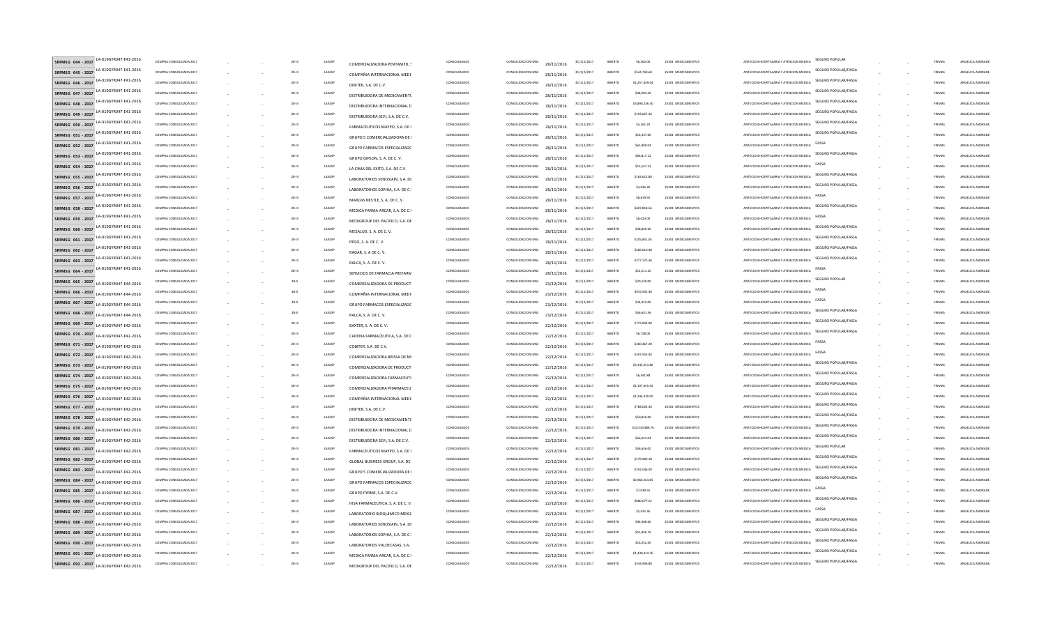| LA-019GYR047-E41-2016<br>SRFMSG 044 - 2017                      | COMPRA CONSOLIDADA 2017                            |  | 28-III        | LAASSE           | COMERCIALIZADORA PENTAMED.                                       | CONSOLIDADOS                 | CONSOLIDACION IMSS<br>28/11/2016                       | $31/1$  2/2017                | ARIFRTO            | \$6,562.00                | 25301 MEDICAMENTOS                       | ANTECION HOSPITALARIA Y ATENCION MEDICA  | <b>SEGURO POPULAR</b> | FIRMAS           | ANGELICA ANDRADI                     |
|-----------------------------------------------------------------|----------------------------------------------------|--|---------------|------------------|------------------------------------------------------------------|------------------------------|--------------------------------------------------------|-------------------------------|--------------------|---------------------------|------------------------------------------|------------------------------------------|-----------------------|------------------|--------------------------------------|
| LA-019GYR047-E41-2016<br>SRFMSG 045 - 2017                      | COMPRA CONSOLIDADA 2017                            |  | 28-III        | LAASS            | COMPAÑIA INTERNACIONAL MEDI                                      | CONSOLIDADOS                 | CONSOLIDACION IMSS<br>28/11/2016                       | $31/1$  2/2017                | ABIERTO            | \$544,758.60              | 25301 MEDICAMENTOS                       | ANTECION HOSPITALARIA Y ATENCION MEDICA  | SEGURO POPULAR/FASSA  | FIRMAS           | ANGELICA ANDRADI                     |
| LA-019GYR047-E41-2016<br>SRFMSG 046 - 2017                      | COMPRA CONSOLIDADA 2017                            |  | $28 - 111$    | LAASSI           | DIBITER, S.A. DE C.V.                                            | CONSOLIDADOS                 | CONSOLIDACION IMSS<br>28/11/2016                       | $31/1$  2/2017                | ARIFRTO            | \$1,257,449.04            | 25301 MEDICAMENTOS                       | ANTECION HOSPITALARIA Y ATENCION MEDICA  | SEGURO POPULAR/FASSA  | FIRMAS           | ANGELICA ANDRADI                     |
| LA-019GYR047-E41-2016<br>SRFMSG 047 - 2017                      | COMPRA CONSOLIDADA 2017                            |  | $28 - 111$    | LAASSI           | DISTRIBUIDORA DE MEDICAMENTO                                     | CONSOLIDADOS                 | CONSOLIDACION IMSS<br>28/11/2016                       | 31/1 2/2017                   | ABIERTO            | \$48,204.50               | 25301 MEDICAMENTOS                       | ANTECION HOSPITALARIA Y ATENCION MEDICA  | SEGURO POPULAR/FASSA  | FIRMAS           | ANGELICA ANDRADI                     |
| LA-019GYR047-E41-2016<br>SRFMSG 048 - 2017                      | COMPRA CONSOLIDADA 2017                            |  | 28-III        | LAASSI           | DISTRIBUIDORA INTERNACIONAL E                                    | CONSOLIDADOS                 | CONSOLIDACION IMSS<br>28/11/2016                       | $31/1$  2/2017                | ABIERTO            | \$3,890,236.50            | 25301 MEDICAMENTOS                       | ANTECION HOSPITALARIA Y ATENCION MEDICA  | SEGURO POPULAR/FASSA  | <b>FIRMA</b>     | ANGELICA ANDRADI                     |
| LA-019GYR047-E41-2016<br>SRFMSG 049 - 2017                      | COMPRA CONSOLIDADA 2017                            |  | $28 - 111$    | LAASS            | DISTRIBUIDORA SEVI, S.A. DE C.V                                  | CONSOLIDADOS                 | CONSOLIDACION IMSS<br>28/11/2016                       | $31/1$  2/2017                | ABIERTO            | \$193,627.3               | 25301 MEDICAMENTOS                       | ANTECION HOSPITALARIA Y ATENCION MEDICA  | SEGURO POPULAR/FASSA  | <b>FIRMA</b>     | ANGELICA ANDRADI                     |
| LA-019GYR047-E41-2016<br>SRFMSG 050 - 2017                      | COMPRA CONSOLIDADA 2017                            |  | $28 - 111$    | LAASSP           | FARMACEUTICOS MAYPO, S.A. DE                                     | CONSOLIDADOS                 | CONSOLIDACION IMSS<br>28/11/2016                       | $31/1$  2/2017                | ABIERTO            | \$5,161.20                | 25301 MEDICAMENTOS                       | ANTECION HOSPITALARIA Y ATENCION MEDICA  | SEGURO POPULAR/FASSA  | FIRMAS           | ANGELICA ANDRADI                     |
| LA-019GYR047-E41-2016<br>SRFMSG 051 - 2017                      | COMPRA CONSOLIDADA 2017                            |  | 28-III        | LAASSI           | GRUPO 5 COMERCIALIZADORA DE                                      | CONSOLIDADOS                 | CONSOLIDACION IMSS<br>28/11/2016                       | $31/1$  2/2017                | ABIERTO            | \$16,437.60               | 25301 MEDICAMENTOS                       | ANTECION HOSPITALARIA Y ATENCION MEDICA  | SEGURO POPULAR/FASSA  | FIRMAS           | ANGELICA ANDRADI                     |
| LA-019GYR047-E41-2016<br>SRFMSG 052 - 2017                      | COMPRA CONSOLIDADA 2017                            |  | <b>28-III</b> | LAASSP           | GRUPO FARMACOS ESPECIALIZADO                                     | CONSOLIDADOS                 | CONSOLIDACION IMSS<br>28/11/2016                       | $31/1$  2/2017                | ABIERTO            | \$61,809.04               | 25301 MEDICAMENTOS                       | ANTECION HOSPITALARIA Y ATENCION MEDICA  | FASSA                 | FIRMAS           | ANGELICA ANDRADI                     |
| LA-019GYR047-E41-2016<br>SRFMSG 053 - 2017                      | COMPRA CONSOLIDADA 2017                            |  | 28-III        | LAASSI           | GRUPO GIPSON, S. A. DE C. V.                                     | CONSOLIDADOS                 | CONSOLIDACION IMSS<br>28/11/2016                       | $31/1$  2/2017                | ABIERTO            | \$66,817.12               | 25301 MEDICAMENTOS                       | ANTECION HOSPITALARIA Y ATENCION MEDICA  | SEGURO POPULAR/FASSA  | FIRMAS           | ANGELICA ANDRADE                     |
| LA-019GYR047-E41-2016<br>SREMSG 054 - 2017                      | COMPRA CONSOLIDADA 2017                            |  | 28-III        | LAASSP           | LA CIMA DEL EXITO, S.A. DE C.V.                                  | CONSOLIDADOS                 | CONSOLIDACION IMSS<br>28/11/2016                       | 31/112/2017                   | ABIERTO            | \$15,547.52               | 25301 MEDICAMENTOS                       | ANTECION HOSPITALARIA Y ATENCION MEDICA  | FASS/                 | <b>FIRMAS</b>    | ANGELICA ANDRADI                     |
| LA-019GYR047-E41-2016<br>SRFMSG 055 - 2017                      | COMPRA CONSOLIDADA 2017                            |  | 28-III        | LAASSP           | LABORATORIOS SENOSIAIN, S.A. DE                                  | CONSOLIDADOS                 | CONSOLIDACION IMSS<br>28/11/2016                       | 31/112/2017                   | ABIERTO            | \$163,612.80              | 25301 MEDICAMENTOS                       | ANTECION HOSPITALARIA Y ATENCION MEDICA  | SEGURO POPULAR/FASSA  | FIRMAS           | ANGELICA ANDRADI                     |
| LA-019GYR047-E41-2016<br>SRFMSG 056 - 2017                      | COMPRA CONSOLIDADA 2017                            |  | 28-III        | LAASSP           | LABORATORIOS SOPHIA, S.A. DE C.                                  | CONSOLIDADOS                 | CONSOLIDACION IMSS<br>28/11/2016                       | $31/1$  2/2017                | ARIFRTO            | \$3,936.30                | 25301 MEDICAMENTOS                       | ANTECION HOSPITALARIA Y ATENCION MEDICA  | SEGURO POPULAR/FASSA  | FIRMAS           | ANGELICA ANDRADI                     |
| LA-019GYR047-E41-2016<br>SRFMSG 057 - 2017                      | COMPRA CONSOLIDADA 2017                            |  | 28-III        | LAASSI           |                                                                  | CONSOLIDADOS                 | CONSOLIDACION IMSS                                     | $31/1$  2/2017                | ABIERTO            | \$8,819.92                | 25301 MEDICAMENTOS                       | ANTECION HOSPITALARIA Y ATENCION MEDICA  | FASSA                 | FIRMAS           | ANGELICA ANDRADI                     |
| A-019GYR047-E41-2016<br>SRFMSG 058 - 2017                       | COMPRA CONSOLIDADA 2017                            |  | 28-III        | LAASSI           | MARCAS NESTLE, S. A. DE C. V.<br>MEDICA FARMA ARCAR, S.A. DE C.) | CONSOLIDADOS                 | 28/11/2016<br>CONSOLIDACION IMSS<br>28/11/2016         | 31/1 2/2017                   | ARIFRTO            | \$607,818.5               | 25301 MEDICAMENTOS                       | ANTECION HOSPITALARIA Y ATENCION MEDICA  | SEGURO POPULAR/FASSA  | <b>FIRMA</b>     | ANGELICA ANDRADI                     |
| LA-019GYR047-E41-2016<br>SRFMSG 059 - 2017                      | COMPRA CONSOLIDADA 2017                            |  | $28 - 111$    | LAASSI           |                                                                  | CONSOLIDADOS                 | CONSOLIDACION IMSS                                     | $31/1$  2/2017                | ABIERTO            | \$8,623.00                | 25301 MEDICAMENTO                        | ANTECION HOSPITALARIA Y ATENCION MEDICA  | FASSA                 | <b>FIRMA</b>     | <b>INGELICA ANDRAD</b>               |
| A-019GYR047-E41-2016<br>SRFMSG 060 - 2017                       | COMPRA CONSOLIDADA 2017                            |  | $28 - 111$    | LAASSI           | MEDIGROUP DEL PACIFICO, S.A. DE                                  | CONSOLIDADOS                 | 28/11/2016<br>CONSOLIDACION IMSS                       | $31/1$  2/2017                | ABIERTO            | \$38,849.6                | 25301 MEDICAMENTO                        | ANTECION HOSPITALARIA Y ATENCION MEDICA  | SEGURO POPULAR/FASSA  | <b>FIRMA</b>     | ANGELICA ANDRADI                     |
| LA-019GYR047-E41-2016<br>SRFMSG 061 - 2017                      | COMPRA CONSOLIDADA 2017                            |  | 28-III        | LAASSI           | MESALUD, S. A. DE C. V.                                          | CONSOLIDADOS                 | 28/11/2016<br>CONSOLIDACION IMSS                       | $31/1$  2/2017                | ABIERTO            | \$105,851.04              | 25301 MEDICAMENTO                        | ANTECION HOSPITALARIA Y ATENCION MEDICA  | SEGURO POPULAR/FASSA  | <b>FIRMA</b>     | ANGELICA ANDRADI                     |
| LA-019GYR047-E41-2016<br>SRFMSG 062 - 2017                      | COMPRA CONSOLIDADA 2017                            |  | $28 - 111$    | LAASSI           | PEGO, S. A. DE C. V.                                             | CONSOLIDADOS                 | 28/11/2016<br>CONSOLIDACION IMSS                       | $31/1$  2/2017                | ABIERTO            | \$266,010.4               | 25301 MEDICAMENTO                        | ANTECION HOSPITALARIA Y ATENCION MEDICA  | SEGURO POPULAR/FASSA  | <b>FIRMA</b>     | ANGELICA ANDRADI                     |
| LA-019GYR047-E41-2016<br>SRFMSG 063 - 2017                      | COMPRA CONSOLIDADA 2017                            |  | 28-III        | LAASSI           | RAGAR, S. A DE C. V.                                             | CONSOLIDADOS                 | 28/11/2016<br>CONSOLIDACION IMSS                       | $31/1$  2/2017                | ABIERTO            | \$277.175.36              | 25301 MEDICAMENTOS                       | ANTECION HOSPITALARIA Y ATENCION MEDICA  | SEGURO POPULAR/FASSA  | FIRMAS           | ANGELICA ANDRADI                     |
| LA-019GYR047-E41-2016<br>SRFMSG 064 - 2017                      | COMPRA CONSOLIDADA 2017                            |  | 28-III        | LAASSI           | RALCA, S. A. DE C. V.                                            | CONSOLIDADOS                 | 28/11/2016<br>CONSOLIDACION IMSS                       | $31/1$  2/2017                | ABIERTO            | \$12,211.20               | 25301 MEDICAMENTOS                       | ANTECION HOSPITALARIA Y ATENCION MEDICA  | FASS/                 | FIRMAS           | ANGELICA ANDRADI                     |
| SRFMSG 065 - 2017                                               | COMPRA CONSOLIDADA 2017                            |  | $28 - 11$     | LAASSE           | SERVICIOS DE FARMACIA PREFARM                                    | CONSOLIDADOS                 | 28/11/2016<br>CONSOLIDACION IMSS                       | 31/112/2017                   | ABIERTO            | \$20,140.00               | 25301 MEDICAMENTOS                       | ANTECION HOSPITALARIA Y ATENCION MEDICA  | <b>SEGURO POPULAR</b> | FIRMAS           | ANGELICA ANDRADI                     |
| LA-019GYR047-E44-2016<br>SRFMSG 066 - 2017                      | COMPRA CONSOLIDADA 2017                            |  | 28-II         | LAASSE           | COMERCIALIZADORA DE PRODUCT                                      | CONSOLIDADOS                 | 23/12/2016<br>CONSOLIDACION IMSS                       | $31/1$  2/2017                | ABIERTO            | \$915.932.40              | 25301 MEDICAMENTOS                       | ANTECION HOSPITALARIA Y ATENCION MEDICA  | <b>FASSA</b>          | FIRMAS           | ANGELICA ANDRADI                     |
| LA-019GYR047-E44-2016<br>SRFMSG 067 - 2017                      | COMPRA CONSOLIDADA 2017                            |  | $28 - 11$     | LAASSE           | COMPAÑIA INTERNACIONAL MEDI                                      | CONSOLIDADOS                 | 23/12/2016<br>CONSOLIDACION IMSS                       | $31/1$  2/2017                | ABIERTO            | \$34,932.00               | 25301 MEDICAMENTOS                       | ANTECION HOSPITALARIA Y ATENCION MEDICA  | FASSA                 | <b>FIRMA</b>     | ANGELICA ANDRADI                     |
| A-019GYR047-E44-2016<br>SRFMSG 068 - 2017                       | COMPRA CONSOLIDADA 2017                            |  | $28 - 11$     | LAASSE           | GRUPO FARMACOS ESPECIALIZADO                                     | CONSOLIDADOS                 | 23/12/2016<br>CONSOLIDACION IMSS                       | 31/1 2/2017                   | ABIERTO            | \$56,651.3                | 25301 MEDICAMENTOS                       | ANTECION HOSPITALARIA Y ATENCION MEDICA  | SEGURO POPULAR/FASSA  | <b>FIRMA</b>     | ANGELICA ANDRADI                     |
| LA-019GYR047-E44-2016<br>SRFMSG 069 - 2017                      | COMPRA CONSOLIDADA 2017                            |  | $28 - 111$    | LAASSI           | RALCA, S. A. DE C. V.                                            | CONSOLIDADOS                 | 23/12/2016<br>CONSOLIDACION IMSS                       | $31/1$  2/2017                | ABIERTO            | \$747,692.0               | 25301 MEDICAMENTO                        | ANTECION HOSPITALARIA Y ATENCION MEDICA  | SEGURO POPULAR/FASSA  | <b>FIRMA</b>     | ANGELICA ANDRAD                      |
| LA-019GYR047-E42-2016<br>SRFMSG 070 - 2017                      | COMPRA CONSOLIDADA 2017                            |  | $28 - 111$    | LAASSI           | BAXTER, S. A. DE C. V.                                           | CONSOLIDADOS                 | 22/12/2016<br>CONSOLIDACION IMSS                       | 31/1 2/2017                   | ABIERTO            | \$6,728.00                | 25301 MEDICAMENTOS                       | ANTECION HOSPITALARIA Y ATENCION MEDICA  | SEGURO POPULAR/FASSA  | FIRMAS           | ANGELICA ANDRADI                     |
| LA-019GYR047-E42-2016<br>SRFMSG 071 - 2017                      | COMPRA CONSOLIDADA 2017                            |  | $28 - 111$    | LAASSI           | CADENA FARMACEUTICA, S.A. DE C                                   | CONSOLIDADOS                 | 22/12/2016<br>CONSOLIDACION IMSS                       | $31/1$  2/2017                | ABIERTO            | \$260,467.2               | 25301 MEDICAMENTO                        | ANTECION HOSPITALARIA Y ATENCION MEDICA  | <b>FASSA</b>          | <b>FIRMA</b>     | ANGELICA ANDRAD                      |
| LA-019GYR047-E42-2016<br>SRFMSG 072 - 2017                      | COMPRA CONSOLIDADA 2017                            |  | 28-III        | LAASSI           | COBITER, S.A. DE C.V.                                            | CONSOLIDADOS                 | 22/12/2016<br>CONSOLIDACION IMSS                       | $31/1$  2/2017                | ABIERTO            | \$307,555.4               | 25301 MEDICAMENTOS                       | ANTECION HOSPITALARIA Y ATENCION MEDICA  | FASSA                 | <b>FIRMA</b>     | ANGELICA ANDRADI                     |
| LA-019GYR047-F42-2016<br>SRFMSG 073 - 2017                      | COMPRA CONSOLIDADA 2017                            |  | 28-III        | LAASSP           | COMERCIALIZADORA BRISSA DE MI                                    | CONSOLIDADOS                 | 22/12/2016<br>CONSOLIDACION IMSS                       | $31/1$  2/2017                | ABIERTO            | \$3,345,551,86            | 25301 MEDICAMENTOS                       | ANTECION HOSPITALARIA Y ATENCION MEDICA  | SEGURO POPULAR/FASSA  | FIRMAS           | ANGELICA ANDRADI                     |
| LA-019GYR047-F42-2016<br>SRFMSG 074 - 2017                      | COMPRA CONSOLIDADA 2017                            |  | 28-III        | LAASSI           | COMERCIALIZADORA DE PRODUCT                                      | CONSOLIDADOS                 | 22/12/2016<br>CONSOLIDACION IMSS                       | $31/1$  2/2017                | ABIERTO            | \$6,541.88                | 25301 MEDICAMENTOS                       | ANTECION HOSPITALARIA Y ATENCION MEDICA  | SEGURO POPULAR/FASSA  | FIRMAS           | ANGELICA ANDRADE                     |
| LA-019GYR047-F42-2016<br>SRFMSG 075 - 2017                      | COMPRA CONSOLIDADA 2017                            |  | 28-III        | LAASSP           | COMERCIALIZADORA FARMACEUT                                       | CONSOLIDADOS                 | 22/12/2016<br>CONSOLIDACION IMSS                       | 31/112/2017                   | ABIERTO            | \$1,197,055.92            | 25301 MEDICAMENTOS                       | ANTECION HOSPITALARIA Y ATENCION MEDICA  | SEGURO POPULAR/FASSA  | <b>FIRMAS</b>    | ANGELICA ANDRADI                     |
| LA-019GYR047-E42-2016<br>SRFMSG 076 - 2017                      | COMPRA CONSOLIDADA 2017                            |  | 28-III        | LAASSP           | COMERCIALIZADORA PHARMACEU                                       | CONSOLIDADOS                 | 22/12/2016<br>CONSOLIDACION IMSS                       | 31/112/2017                   | ABIERTO            | \$1,344,320.00            | 25301 MEDICAMENTOS                       | ANTECION HOSPITALARIA Y ATENCION MEDICA  | SEGURO POPULAR/FASSA  | FIRMAS           | ANGELICA ANDRADI                     |
| 4-0196YR047-F42-2016<br>SRFMSG 077 - 2017                       | COMPRA CONSOLIDADA 2017                            |  | 28-III        | LAASSP           | COMPAÑIA INTERNACIONAL MEDI                                      | CONSOLIDADOS                 | 22/12/2016<br>CONSOLIDACION IMSS                       | 31/112/2017                   | ARIFRTO            | \$768,024.36              | 25301 MEDICAMENTOS                       | ANTECION HOSPITALARIA Y ATENCION MEDICA  | SEGURO POPULAR/FASSA  | FIRMAS           | ANGELICA ANDRADI                     |
| LA-019GYR047-E42-2016<br>SRFMSG 078 - 2017                      | COMPRA CONSOLIDADA 2017                            |  | 28-III        | LAASSP           | DIBITER, S.A. DE C.V.                                            | CONSOLIDADOS                 | 22/12/2016<br>CONSOLIDACION IMSS                       | 31/112/2017                   | ABIERTO            | \$50,836.00               | 25301 MEDICAMENTOS                       | ANTECION HOSPITALARIA Y ATENCION MEDICA  | SEGURO POPULAR/FASSA  | FIRMAS           | ANGELICA ANDRADI                     |
| A-019GYR047-E42-2016<br>SRFMSG 079 - 2017                       | COMPRA CONSOLIDADA 2017                            |  | 28-III        | LAASSP           | DISTRIBUIDORA DE MEDICAMENTO                                     | CONSOLIDADOS                 | 22/12/2016<br>CONSOLIDACION IMSS                       | $31/1$  2/2017                | ARIFRTO            | \$10,519,488.76           | 25301 MEDICAMENTOS                       | ANTECION HOSPITALARIA Y ATENCION MEDICA  | SEGURO POPULAR/FASSA  | FIRMAS           | ANGELICA ANDRADI                     |
| LA-019GYR047-E42-2016<br>SRFMSG 080 - 2017                      | COMPRA CONSOLIDADA 2017                            |  | 28-III        | LAASSP           | DISTRIBUIDORA INTERNACIONAL D                                    | CONSOLIDADOS                 | 22/12/2016<br>CONSOLIDACION IMSS                       | 31/1 2/2017                   | ARIFRTO            | \$56,031.04               | 25301 MEDICAMENTOS                       | ANTECION HOSPITALARIA Y ATENCION MEDICA  | SEGURO POPULAR/FASSA  | FIRMAS           | ANGELICA ANDRADI                     |
| LA-019GYR047-E42-2016<br>SRFMSG 081 - 2017                      | COMPRA CONSOLIDADA 2017                            |  | $28 - 111$    | LAASSI           | DISTRIBUIDORA SEVI, S.A. DE C.V.                                 | CONSOLIDADOS                 | 22/12/2016<br>CONSOLIDACION IMSS                       | 31/1 2/2017                   | ABIERTO            | \$36,656.00               | 25301 MEDICAMENTOS                       | ANTECION HOSPITALARIA Y ATENCION MEDICA  | <b>SEGURO POPULAR</b> | <b>FIRMA</b>     | ANGELICA ANDRADI                     |
| LA-019GYR047-E42-2016<br>SRFMSG 082 - 2017                      | COMPRA CONSOLIDADA 2017                            |  | $28 - 111$    | LAASS            | FARMACEUTICOS MAYPO, S.A. DE (                                   | CONSOLIDADOS                 | 22/12/2016<br>CONSOLIDACION IMSS                       | $31/1$  2/2017                | ABIERTO            | \$179,969.1               | 25301 MEDICAMENTO                        | ANTECION HOSPITALARIA Y ATENCION MEDICA  | SEGURO POPULAR/FASSA  | <b>FIRMA</b>     | ANGELICA ANDRAD                      |
| LA-019GYR047-E42-2016<br>SRFMSG 083 - 2017                      | COMPRA CONSOLIDADA 2017                            |  | $28 - 111$    | LAASSI           | GLOBAL BUSINESS GROUP, S.A. DE                                   | CONSOLIDADOS                 | 22/12/2016<br>CONSOLIDACION IMSS                       | $31/1$  2/2017                | ABIERTO            | \$292,046.0               | 25301 MEDICAMENTO                        | ANTECION HOSPITALARIA Y ATENCION MEDICA  | SEGURO POPULAR/FASSA  | FIRMAS           | ANGELICA ANDRADI                     |
| LA-019GYR047-E42-2016<br>SRFMSG 084 - 2017                      | COMPRA CONSOLIDADA 2017                            |  | 28-III        | LAASSI           | GRUPO 5 COMERCIALIZADORA DE                                      | CONSOLIDADOS                 | 22/12/2016<br>CONSOLIDACION IMSS                       | $31/1$  2/2017                | ABIERTO            | \$2,960,263.85            | 25301 MEDICAMENTOS                       | ANTECION HOSPITALARIA Y ATENCION MEDICA  | SEGURO POPULAR/FASSA  | FIRMAS           | ANGELICA ANDRADI                     |
| LA-019GYR047-E42-2016<br>SRFMSG 085 - 2017                      | COMPRA CONSOLIDADA 2017                            |  | 28-III        | LAASSI           | GRUPO FARMACOS ESPECIALIZADO                                     | CONSOLIDADOS                 | 22/12/2016<br>CONSOLIDACION IMSS                       | $31/1$  2/2017                | ABIERTO            | \$7,039.55                | 25301 MEDICAMENTOS                       | ANTECIÓN HOSPITALARIA Y ATENCIÓN MEDICA  | FASSA                 | FIRMAS           | ANGELICA ANDRADI                     |
| LA-019GYR047-E42-2016<br>SRFMSG 086 - 2017                      | COMPRA CONSOLIDADA 2017                            |  | 28-III        | LAASSI           | GRUPO FYRME, S.A. DE C.V.                                        | CONSOLIDADOS                 | 22/12/2016<br>CONSOLIDACION IMSS                       | 31/112/2017                   | ABIERTO            | S680.077.52               | 25301 MEDICAMENTOS                       | ANTECION HOSPITALARIA Y ATENCION MEDICA  | SEGURO POPULAR/FASSA  | FIRMAS           | ANGELICA ANDRADI                     |
| LA-019GYR047-E42-2016                                           |                                                    |  | 28-III        |                  | HISA FARMACEUTICA, S. A. DE C. V.                                |                              | 22/12/2016                                             |                               |                    |                           |                                          | ANTECIÓN HOSPITALARIA Y ATENCIÓN MEDICA  | FASS/                 |                  |                                      |
| SRFMSG 087 - 2017<br>LA-019GYR047-E42-2016<br>SRFMSG 088 - 2017 | COMPRA CONSOLIDADA 2017<br>COMPRA CONSOLIDADA 2017 |  | 28-III        | LAASSI<br>LAASSI | LABORATORIO BIOQUIMICO MEXIC                                     | CONSOLIDADOS<br>CONSOLIDADOS | CONSOLIDACION IMSS<br>22/12/2016<br>CONSOLIDACION IMSS | $31/1$  2/2017<br>31/112/2017 | ABIERTO<br>ABIERTO | \$5,425.36<br>\$46,368.60 | 25301 MEDICAMENTOS<br>25301 MEDICAMENTOS | ANTECION HOSPITALARIA Y ATENCION MEDICA  | SEGURO POPULAR/FASSA  | FIRMAS<br>FIRMAS | ANGELICA ANDRADI<br>ANGELICA ANDRADI |
| LA-019GYR047-E42-2016                                           | COMPRA CONSOLIDADA 2017                            |  | 28-III        | LAASSI           | LABORATORIOS SENOSIAIN, S.A. DE                                  | CONSOLIDADOS                 | 22/12/2016<br>CONSOLIDACION IMSS                       | $31/1$  2/2017                | ABIERTO            | \$51,846.76               | 25301 MEDICAMENTOS                       | ANTECION HOSPITALARIA Y ATENCION MEDICA  | SEGURO POPULAR/FASSA  | <b>FIRMAS</b>    | ANGELICA ANDRADI                     |
| SRFMSG 089 - 2017<br>LA-019GYR047-E42-2016<br>SRFMSG 090 - 2017 | COMPRA CONSOLIDADA 2017                            |  | 28-III        | LAASSI           | LABORATORIOS SOPHIA, S.A. DE C.                                  | CONSOLIDADOS                 | 22/12/2016<br>CONSOLIDACION IMSS                       | $31/1$  2/2017                | ABIERTO            | \$16,252.40               | 25301 MEDICAMENTOS                       | ΑΝΤΕΣΙΟΝ ΗΩΝΡΙΤΑΙ ΑΒΙΑ Υ ΑΤΕΝΣΙΟΝ ΜΕΡΙΣΑ | SEGURO POPULAR/FASSA  | <b>FIRMA</b>     | ANGELICA ANDRADI                     |
| LA-019GYR047-E42-2016                                           | COMPRA CONSOLIDADA 2017                            |  |               | LAASS            | LABORATORIOS VALDECASAS, S.A                                     | CONSOLIDADOS                 | 22/12/2016                                             |                               | ABIERTO            | \$1,430,414.76            | 25301 MEDICAMENTOS                       | ANTECION HOSPITALARIA Y ATENCION MEDICA  | SEGURO POPULAR/FASSA  | <b>FIRMA</b>     | ANGELICA ANDRADI                     |
| SRFMSG 091 - 2017<br>LA-019GYR047-F42-2016                      |                                                    |  | $28 - 111$    |                  | MEDICA FARMA ARCAR, S.A. DE C.Y                                  |                              | CONSOLIDACION IMSS<br>22/12/2016                       | 31/1 2/2017                   |                    |                           |                                          |                                          | SEGURO POPULAR/FASSA  |                  |                                      |
| SRFMSG 092 - 2017<br>LA-019GYR047-E42-2016                      | COMPRA CONSOLIDADA 2017                            |  | $28 - 111$    | LAASSI           | MEDIGROUP DEL PACIFICO, S.A. DE                                  | CONSOLIDADOS                 | CONSOLIDACION IMSS<br>22/12/2016                       | $31/1$  2/2017                | ABIERTO            | \$334,906.8               | 25301 MEDICAMENTOS                       | ANTECION HOSPITALARIA Y ATENCION MEDICA  |                       | <b>FIRMA</b>     | ANGELICA ANDRADI                     |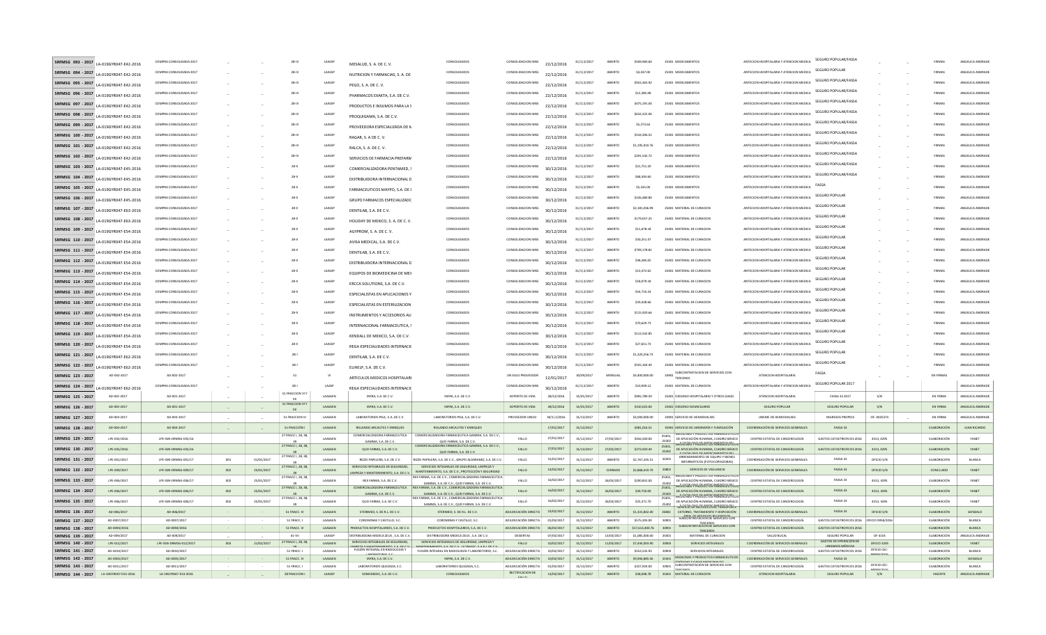|                                        | SRFMSG 093 - 2017 LA-019GYR047-E42-2016 | COMPRA CONSOLIDADA 2017      |        |            | 28-111                      | LAASSE                    | MESALUD, S. A. DE C. V.                                            | CONSOLIDADOS                                                                                                  | CONSOLIDACION IMSS                            | 22/12/2016               | $31/1$  2/2017           | ABIERTO            | \$509,960.60                    | 25301 MEDICAMENTOS                                                                                                     | ANTECION HOSPITALARIA Y ATENCION MEDICA                               | SEGURO POPULAR/FASSA                                                     |             | FIRMA                             | ANGELICA ANDRAD          |
|----------------------------------------|-----------------------------------------|------------------------------|--------|------------|-----------------------------|---------------------------|--------------------------------------------------------------------|---------------------------------------------------------------------------------------------------------------|-----------------------------------------------|--------------------------|--------------------------|--------------------|---------------------------------|------------------------------------------------------------------------------------------------------------------------|-----------------------------------------------------------------------|--------------------------------------------------------------------------|-------------|-----------------------------------|--------------------------|
| SRFMSG 094 - 2017                      | LA-019GYR047-E42-2016                   | COMPRA CONSOLIDADA 2017      |        |            | 28-III                      | LAASSE                    | NUTRICION Y FARMACIAS, S. A. DE                                    | CONSOLIDADOS                                                                                                  | CONSOLIDACION IMSS                            | 22/12/2016               | $31/1$  2/2017           | ABIERTO            | \$4,437.00                      | 25301 MEDICAMENTOS                                                                                                     | ANTECION HOSPITALARIA Y ATENCION MEDICA                               | <b>SEGURO POPULAR</b>                                                    |             | FIRMAS                            | ANGELICA ANDRADE         |
| SRFMSG 095 - 2017                      | LA-019GYR047-E42-2016                   | COMPRA CONSOLIDADA 2017      |        |            | 28-III                      | LAASSE                    | PEGO, S. A. DE C. V.                                               | CONSOLIDADOS                                                                                                  | CONSOLIDACION IMSS                            | 22/12/2016               | $31/1$  2/2017           | ABIERTO            | \$922,363.92                    | 25301 MEDICAMENTOS                                                                                                     | ANTECION HOSPITALARIA Y ATENCION MEDICA                               | SEGURO POPULAR/FASSA                                                     |             | FIRMA                             | ANGELICA ANDRAD          |
| SRFMSG 096 - 2017                      | LA-019GYR047-E42-2016                   | COMPRA CONSOLIDADA 2017      |        |            | 28-III                      | LAASSP                    | PHARMACOS EXAKTA, S.A. DE C.V.                                     | CONSOLIDADOS                                                                                                  | CONSOLIDACION IMSS                            | 22/12/2016               | $31/1$  2/2017           | ABIERTO            | \$12,385.0                      | 25301 MEDICAMENTOS                                                                                                     | ANTECION HOSPITALARIA Y ATENCION MEDICA                               | SEGURO POPULAR/FASSA                                                     |             | FIRMA                             | <b>INGELICA ANDRAD</b>   |
| SRFMSG 097 - 2017                      | LA-019GYR047-E42-2016                   | COMPRA CONSOLIDADA 2017      |        |            | 28-III                      | LAASSE                    | PRODUCTOS E INSUMOS PARA LA 9                                      | CONSOLIDADOS                                                                                                  | CONSOLIDACION IMSS                            | 22/12/2016               | $31/1$  2/2017           | ABIERTO            | \$475,191.04                    | 25301 MEDICAMENTOS                                                                                                     | ANTECION HOSPITALARIA Y ATENCION MEDICA                               | SEGURO POPULAR/FASSA                                                     |             | FIRMA                             | <b>INGELICA ANDRAD</b>   |
| SRFMSG 098 - 2017                      |                                         | COMPRA CONSOLIDADA 2017      |        |            | 28-III                      | LAASSP                    |                                                                    | CONSOLIDADOS                                                                                                  | CONSOLIDACION IMSS                            |                          | $31/1$  2/2017           | ABIERTO            | \$632,322.06                    | 25301 MEDICAMENTOS                                                                                                     | ANTECION HOSPITALARIA Y ATENCION MEDICA                               | SEGURO POPULAR/FASSA                                                     |             | FIRMAS                            | ANGELICA ANDRAD          |
| SRFMSG 099 - 2017                      | LA-019GYR047-F42-2016                   | COMPRA CONSOLIDADA 2017      |        |            | 28-III                      | LAASSP                    | PROOLIGAMA, S.A. DE C.V.                                           | CONSOLIDADOS                                                                                                  | CONSOLIDACION IMSS                            | 22/12/2016               | $31/1$  2/2017           | ABIERTO            | \$5,273.6                       | 25301 MEDICAMENTOS                                                                                                     | ANTECION HOSPITALARIA Y ATENCION MEDICA                               | SEGURO POPULAR/FASSA                                                     |             | FIRMAS                            | ANGELICA ANDRADE         |
|                                        | A-019GYR047-F42-2016                    |                              |        |            |                             |                           | PROVEEDORA ESPECIALIZADA DE M                                      |                                                                                                               |                                               | 22/12/2016               |                          |                    |                                 |                                                                                                                        |                                                                       | SEGURO POPULAR/FASSA                                                     |             |                                   |                          |
| SRFMSG 100 - 2017                      | A-019GYR047-F42-2016                    | COMPRA CONSOLIDADA 2017      |        |            | 28-III                      | LAASSP                    | RAGAR, S. A DE C. V.                                               | CONSOLIDADOS                                                                                                  | CONSOLIDACION IMSS                            | 22/12/2016               | $31/1$  2/2017           | ABIERTO            | \$534,206.52                    | 25301 MEDICAMENTOS                                                                                                     | ANTECION HOSPITALARIA Y ATENCION MEDICA                               | SEGURO POPULAR/FASSA                                                     |             | FIRMAS                            | ANGELICA ANDRAD          |
| SRFMSG 101 - 2017                      | LA-019GYR047-F42-2016                   | COMPRA CONSOLIDADA 2017      |        |            | 28-111                      | LAASSP                    | RAICA S.A. DEC. V.                                                 | CONSOLIDADOS                                                                                                  | CONSOLIDACION IMSS                            | 22/12/2016               | $31/1$  2/2017           | ABIERTO            | \$1.195.910.76                  | 25301 MEDICAMENTOS                                                                                                     | ANTECION HOSPITALARIA Y ATENCION MEDICA                               | SEGURO POPULAR/FASSA                                                     |             | FIRMAS                            | ANGELICA ANDRADE         |
| SRFMSG 102 - 2017                      | A-019GYR047-F42-2016                    | COMPRA CONSOLIDADA 2017      |        |            | 28-III                      | LAASSE                    | SERVICIOS DE FARMACIA PREFARM                                      | CONSOLIDADOS                                                                                                  | CONSOLIDACION IMSS                            | 22/12/2016               | $31/1$  2/2017           | ABIERTO            | \$291,542.72                    | 25301 MEDICAMENTOS                                                                                                     | ANTECION HOSPITALARIA Y ATENCION MEDICA                               | SEGURO POPULAR/FASSA                                                     |             | FIRMAS                            | ANGELICA ANDRADE         |
| SRFMSG 103 - 2017                      | LA-019GYR047-E45-2016                   | COMPRA CONSOLIDADA 2017      |        |            | $28 - 11$                   | LAASSE                    | COMERCIALIZADORA PENTAMED, :                                       | CONSOLIDADOS                                                                                                  | CONSOLIDACION IMSS                            | 30/12/2016               | $31/1$  2/2017           | ABIERTO            | \$21,751.20                     | 25301 MEDICAMENTOS                                                                                                     | ANTECION HOSPITALARIA Y ATENCION MEDICA                               | SEGURO POPULAR/FASSA                                                     |             | FIRMA                             | <b>INGELICA ANDRAD</b>   |
| SRFMSG 104 - 2017                      | LA-019GYR047-E45-2016                   | COMPRA CONSOLIDADA 2017      |        |            | $28 - 11$                   | LAASSP                    | DISTRIBUIDORA INTERNACIONAL D                                      | CONSOLIDADOS                                                                                                  | CONSOLIDACION IMSS                            | 30/12/2016               | $31/1$  2/2017           | ABIERTO            | \$68,393.6                      | 25301 MEDICAMENTOS                                                                                                     | ANTECION HOSPITALARIA Y ATENCION MEDICA                               |                                                                          |             | FIRMA                             | <b>INGELICA ANDRAD</b>   |
| SRFMSG 105 - 2017                      | LA-019GYR047-E45-2016                   | COMPRA CONSOLIDADA 2017      |        |            | $28 - 11$                   | LAASSE                    | FARMACEUTICOS MAYPO, S.A. DE                                       | CONSOLIDADOS                                                                                                  | CONSOLIDACION IMSS                            | 30/12/2016               | $31/1$  2/2017           | ABIERTO            | \$5,335.00                      | 25301 MEDICAMENTOS                                                                                                     | ANTECION HOSPITALARIA Y ATENCION MEDICA                               | FASSA                                                                    |             | FIRMA                             | <b>INGELICA ANDRAD</b>   |
| SRFMSG 106 - 2017                      | LA-019GYR047-F45-2016                   | COMPRA CONSOLIDADA 2017      |        |            | 28-II                       | LAASSP                    | GRUPO FARMAÇOS ESPECIALIZADO                                       | CONSOLIDADOS                                                                                                  | CONSOLIDACION IMSS                            | 30/12/2016               | $31/1$  2/2017           | ABIERTO            | \$226,480.8                     | 25301 MEDICAMENTOS                                                                                                     | ANTECION HOSPITALARIA Y ATENCION MEDICA                               | <b>SEGURO POPULAR</b>                                                    |             | FIRMAS                            | ANGELICA ANDRAD          |
| SRFMSG 107 - 2017                      | LA-019GYR047-F63-2016                   | COMPRA CONSOLIDADA 2017      |        |            | 28-II                       | LAASSP                    | DENTILAB, S.A. DE C.V.                                             | CONSOLIDADOS                                                                                                  | CONSOLIDACION IMSS                            | 30/12/2016               | $31/1$  2/2017           | ABIERTO            | \$2,181,036.99                  | 25401 MATERIAL DE CURACION                                                                                             | ANTECION HOSPITALARIA Y ATENCION MEDICA                               | <b>SEGURO POPULAR</b>                                                    |             | FIRMAS                            | ANGELICA ANDRAD          |
| SRFMSG 108 - 2017                      | LA-019GYR047-F63-2016                   | COMPRA CONSOLIDADA 2017      |        |            | 28-II                       | LAASSP                    | HOLIDAY DE MEXICO, S. A. DE C. V.                                  | CONSOLIDADOS                                                                                                  | CONSOLIDACION IMSS                            | 30/12/2016               | $31/1$  2/2017           | ABIERTO            | \$179,057.25                    | 25401 MATERIAL DE CURACION                                                                                             | ANTECION HOSPITALARIA Y ATENCION MEDICA                               | <b>SEGURO POPULAR</b>                                                    |             | FIRMAS                            | ANGELICA ANDRAD          |
| SRFMSG 109 - 2017                      | LA-019GYR047-F54-2016                   | COMPRA CONSOLIDADA 2017      |        |            | 28-11                       | LAASSP                    | AGYPROM. S. A. DEC. V.                                             | CONSOLIDADOS                                                                                                  | CONSOLIDACION IMSS                            | 30/12/2016               | $31/1$  2/2017           | ABIERTO            | \$11,678.1                      | 25401 MATERIAL DE CURACION                                                                                             | ANTECION HOSPITALARIA Y ATENCION MEDICA                               | <b>SEGURO POPULAR</b>                                                    |             | FIRMAS                            | ANGELICA ANDRADE         |
| SRFMSG 110 - 2017                      | A-019GYR047-F54-2016                    | COMPRA CONSOLIDADA 2017      |        |            | $28 - 11$                   | LAASSP                    | AVISA MEDICAL, S.A. DE C.V.                                        | CONSOLIDADOS                                                                                                  | CONSOLIDACION IMSS                            | 30/12/2016               | $31/1$  2/2017           | ABIERTO            | \$30,251.4                      | 25401 MATERIAL DE CURACION                                                                                             | ANTECION HOSPITALARIA Y ATENCION MEDICA                               | <b>SEGURO POPULAR</b>                                                    |             | FIRMAS                            | ANGELICA ANDRADE         |
| SRFMSG 111 - 2017                      | LA-019GYR047-E54-2016                   | COMPRA CONSOLIDADA 2017      |        |            | $28 - 11$                   | LAASSE                    | DENTILAB, S.A. DE C.V.                                             | CONSOLIDADOS                                                                                                  | CONSOLIDACION IMSS                            | 30/12/2016               | $31/1$  2/2017           | ABIERTO            | \$709,178.8                     | 25401 MATERIAL DE CURACION                                                                                             | ANTECION HOSPITALARIA Y ATENCION MEDICA                               | SEGURO POPULAR                                                           |             | FIRMA                             | <b>INGELICA ANDRAD</b>   |
| SRFMSG 112 - 2017                      | LA-019GYR047-E54-2016                   | COMPRA CONSOLIDADA 2017      |        |            | $28 - 11$                   | LAASSE                    | DISTRIBUIDORA INTERNACIONAL D                                      | CONSOLIDADOS                                                                                                  | CONSOLIDACION IMSS                            | 30/12/2016               | $31/1$  2/2017           | ABIERTO            | \$38,285.0                      | 25401 MATERIAL DE CURACION                                                                                             | ANTECION HOSPITALARIA Y ATENCION MEDICA                               | SEGURO POPULAR                                                           |             | FIRMA                             | ANGELICA ANDRAD          |
| SRFMSG 113 - 2017                      |                                         | COMPRA CONSOLIDADA 2017      |        |            | $28 - 11$                   | LAASSE                    |                                                                    | CONSOLIDADOS                                                                                                  | CONSOLIDACION IMSS                            |                          | $31/1$  2/2017           | ABIERTO            | \$13,472.6                      | 25401 MATERIAL DE CURACION                                                                                             | ANTECION HOSPITALARIA Y ATENCION MEDICA                               | SEGURO POPULAR                                                           |             | FIRMA                             | <b>INGELICA ANDRAD</b>   |
| SRFMSG 114 - 2017                      | LA-019GYR047-E54-2016                   | COMPRA CONSOLIDADA 2017      |        |            | 28-II                       | LAASSE                    | EQUIPOS DE BIOMEDICINA DE MEX                                      | CONSOLIDADOS                                                                                                  | CONSOLIDACION IMSS                            | 30/12/2016               | $31/1$  2/2017           | ABIERTO            | \$18,079.1                      | 25401 MATERIAL DE CURACION                                                                                             | ANTECION HOSPITALARIA Y ATENCION MEDICA                               | <b>SEGURO POPULAR</b>                                                    |             | FIRMAS                            | ANGELICA ANDRAD          |
| SRFMSG 115 - 2017                      | LA-019GYR047-E54-2016                   | COMPRA CONSOLIDADA 2017      |        |            | 28-II                       | LAASSP                    | ERCCA SOLUTIONS, S.A. DE C.V.                                      | CONSOLIDADOS                                                                                                  | CONSOLIDACION IMSS                            | 30/12/2016               | $31/1$  2/2017           | ABIERTO            | \$54,710.2                      | 25401 MATERIAL DE CURACION                                                                                             | ANTECION HOSPITALARIA Y ATENCION MEDICA                               | <b>SEGURO POPULAR</b>                                                    |             | FIRMAS                            | ANGELICA ANDRAD          |
|                                        | LA-019GYR047-F54-2016                   | COMPRA CONSOLIDADA 2017      |        |            | 28-II                       | LAASSP                    | ESPECIALISTAS EN APLICACIONES Y                                    | CONSOLIDADOS                                                                                                  | CONSOLIDACION IMSS                            | 30/12/2016               | $31/1$  2/2017           | ABIERTO            | \$59,428.6                      | 25401 MATERIAL DE CURACION                                                                                             | ANTECION HOSPITALARIA Y ATENCION MEDICA                               | <b>SEGURO POPULAR</b>                                                    |             | FIRMAS                            | ANGELICA ANDRAD          |
| SRFMSG 116 - 2017                      | LA-019GYR047-F54-2016                   |                              |        |            |                             |                           | ESPECIALISTAS EN ESTERILIZACIÓN                                    |                                                                                                               |                                               | 30/12/2016               |                          |                    |                                 |                                                                                                                        |                                                                       | <b>SEGURO POPULAR</b>                                                    |             |                                   |                          |
| SRFMSG 117 - 2017                      | LA-019GYR047-F54-2016                   | COMPRA CONSOLIDADA 2017      |        |            | 28-11                       | LAASSP                    | INSTRUMENTOS Y ACCESORIOS AU                                       | CONSOLIDADOS                                                                                                  | CONSOLIDACION IMSS                            | 30/12/2016               | $31/1$  2/2017           | ABIERTO            | \$115,920.6                     | 25401 MATERIAL DE CURACION                                                                                             | ANTECION HOSPITALARIA Y ATENCION MEDICA                               | <b>SEGURO POPULAR</b>                                                    |             | FIRMAS                            | ANGELICA ANDRADE         |
| SRFMSG 118 - 2017                      | A-019GYR047-F54-2016                    | COMPRA CONSOLIDADA 2017      |        |            | $28 - 11$                   | LAASSP                    | INTERNACIONAL FARMACELITICA.                                       | CONSOLIDADOS                                                                                                  | CONSOLIDACION IMSS                            | 30/12/2016               | $31/1$  2/2017           | ABIERTO            | \$70,629.73                     | 25401 MATERIAL DE CURACION                                                                                             | ANTECION HOSPITALARIA Y ATENCION MEDICA                               | SEGURO POPULAR                                                           |             | FIRMAS                            | ANGELICA ANDRADE         |
| SRFMSG 119 - 2017                      | LA-019GYR047-E54-2016                   | COMPRA CONSOLIDADA 2017      |        |            | $28 - 11$                   | LAASSE                    | KENDALL DE MEXICO, S.A. DE C.V.                                    | CONSOLIDADOS                                                                                                  | CONSOLIDACION IMSS                            | 30/12/2016               | $31/1$  2/2017           | ABIERTO            | \$112,542.8                     | 25401 MATERIAL DE CURACION                                                                                             | ANTECION HOSPITALARIA Y ATENCION MEDICA                               | SEGURO POPULAR                                                           |             | FIRMA                             | <b>INGELICA ANDRAD</b>   |
| SRFMSG 120 - 2017                      | LA-019GYR047-E54-2016                   | COMPRA CONSOLIDADA 2017      |        |            | $28 - 11$                   | LAASSE                    | REGA ESPECIALIDADES INTERNACI                                      | CONSOLIDADOS                                                                                                  | CONSOLIDACION IMSS                            | 30/12/2016               | $31/1$  2/2017           | ABIERTO            | \$27,651.7                      | 25401 MATERIAL DE CURACION                                                                                             | ANTECION HOSPITALARIA Y ATENCION MEDICA                               | SEGURO POPULAR                                                           |             | FIRMA                             | ANGELICA ANDRAD          |
| SRFMSG 121 - 2017                      | LA-019GYR047-E62-2016                   | COMPRA CONSOLIDADA 2017      |        |            | $28 -$                      | LAASSE                    | DENTILAB, S.A. DE C.V.                                             | CONSOLIDADOS                                                                                                  | CONSOLIDACION IMSS                            | 30/12/2016               | $31/1$  2/2017           | ABIERTO            | \$1,320,256.73                  | 25401 MATERIAL DE CURACION                                                                                             | ANTECION HOSPITALARIA Y ATENCION MEDICA                               |                                                                          |             | FIRMA                             | <b>INGELICA ANDRAD</b>   |
| SRFMSG 122 - 2017                      | A-019GYR047-E62-2016                    | COMPRA CONSOLIDADA 2017      |        |            |                             | LAASSE                    | ELIHELP, S.A. DE C.V.                                              | CONSOLIDADOS                                                                                                  | CONSOLIDACION IMSS                            | 30/12/2016               | $31/1$  2/2017           | ABIERTO            | \$555,164.4                     | 25401 MATERIAL DE CURACION                                                                                             | ANTECION HOSPITALARIA Y ATENCION MEDICA                               | SEGURO POPULAR                                                           |             | FIRMAS                            | ANGELICA ANDRADE         |
| SRFMSG 123 - 2017                      | AD-002-2017                             | AD-002-2017                  |        |            |                             | V1                        | ARTICULOS MEDICOS HOSPITALAR                                       | CONSOLIDADOS                                                                                                  | UN SOLO PROVEEDOR                             | 12/01/2017               | 30/09/2017               | MENSUAL            | \$4,400,000.00                  | SUBCONTRATACION DE SERVICIOS CON<br>$\begin{array}{c}\n 33901 \overline{\phantom{0}} \\ \text{TERCEROS}\n \end{array}$ | ATENCION HOSPITALARIA                                                 | FASSA                                                                    |             | EN FIRMAS                         | ANGELICA ANDRAD          |
| SRFMSG 124 - 2017                      | 4-019GYR047-F62-2016                    | COMPRA CONSOLIDADA 201       |        |            |                             | LAASP                     | <b>REGA ESPECIALIDADES INTERNACION</b>                             | CONSOLIDADOS                                                                                                  | CONSOLIDACION IMSS                            | 30/12/2016               | $31/1$  2/2017           | ABIERTO            | \$10,949.1                      | 25401 MATERIAL DE CURACION                                                                                             | ANTECION HOSPITALARIA Y ATENCION MEDICA                               | SEGURO POPULAR 2017                                                      |             |                                   | <b>INGELICA ANDRADE</b>  |
| SRFMSG 125 - 2017                      | AD-001-2017                             | AD-001-2017                  |        |            | 51 FRACCION VI Y            | LAASAEN                   | INFRA, S.A. DE C.V.                                                | INFRA, S.A. DE C.V.                                                                                           | SOPORTE DE VIDA                               | 28/12/2016               | 31/01/2017               | ABIERTO            | \$905,789.59                    | 25401 OXIGENO HOSPITALARIO Y OTROS GASE!                                                                               | <b><i>ATENCION HOSPITALARIA</i></b>                                   | FASSA 33 2017                                                            | S/N         | EN FIRMA                          | ANGELICA ANDRADE         |
| SRFMSG 126 - 2017                      | AD-002-2017                             | AD-001-201                   |        |            | 51 FRACCION VI1             | LAASAEN                   | INFRA. S.A. DE C.V.                                                | INFRA, S.A. DE C.V.                                                                                           | SOPORTE DE VIDA                               | 28/12/2016               | 31/01/2017               | ABIERTO            | \$310,023.00                    | 25401 OXIGENO DOMICILIARIO                                                                                             | SEGURO POPULAR                                                        | SEGURO POPULAR                                                           | S/N         | EN FIRMA                          | ANGELICA ANDRADE         |
| SRFMSG 127 - 2017                      | AD-003-2017                             | AD-003-2017                  | $\sim$ |            | 51 FRACCION V               | LAASAEN                   | LABORATORIOS PISA. . S.A. DE C.V.                                  | LABORATORIOS PISA, S.A. DE C.V                                                                                | PROVEEDOR UNICO                               | $30/1$  2/2016           | 31/12/2017               | ABIERTO            | \$4,000,000.00                  | 33901 SERVICIO DE HEMODIALISIS                                                                                         | UNEME DE HEMODIALISIS                                                 | <b>INGRESOS PROPIOS</b>                                                  | OF. 0025374 | EN FIRMA                          | <b>INGELICA ANDRADE</b>  |
| SRFMSG 128 - 2017                      | AD-004-2017                             | AD-004-2017                  |        |            | 51 FRACCIÓN I               | LAASAEN                   | ROLANDO ARCAUTES Y ENRIQUES                                        | ROLANDO ARCAUTES Y ENRIQUES                                                                                   |                                               | 17/01/2017               | 31/12/2017               |                    | S481.016.51                     | 35901 SERVICIO DE JARDINERÍA Y FUMIGACIÓN                                                                              | COORDINACIÓN DE SERVICIOS GENERALES                                   | FASSA 33                                                                 |             | ELABORACIÓN                       | <b>JUAN RICARDO</b>      |
| SRFMSG 129 - 2017                      | LPE-035/2016                            | LPE-SSN-DRMSG-035/16         |        |            | 27 FRACC I, 28, 38          | LAASAEN                   | COMERCIALIZADORA FARMACELITICA                                     | COMERCIALIZADORA FARMACEUTICA GAMMA, S.A. DE C.V.<br>OUD FARMA SA DECV                                        | FALLO                                         | 27/01/2017               | 31/12/2017               | 27/02/2017         | \$456,500.00                    | MEDICINAS Y PRODUCTOS FARMACEUTICOS<br>25301,<br>DE APLICACIÓN HUMANA, CUADRO BÁSICO<br>25302                          | CENTRO ESTATAL DE CANCEROLOGÍA                                        | <b>GASTOS CATASTROFICOS 2016</b>                                         | 4313, 4295  | ELABORACIÓN                       | YANET                    |
| SRFMSG 130 - 2017                      | LPE-035/2016                            | LPE-SSN-DRMSG-035/16         |        |            | 27 FRACC I, 28, 38          | LAASAEN                   | GAMMA, S.A. DE C.V.<br>QUO FARMA, S.A. DE C.V.                     | COMERCIALIZADORA FARMACEUTICA GAMMA, S.A. DE C.V.,                                                            | FALLO                                         | 27/01/2017               | 31/12/2017               | 27/02/2017         | \$373,920.40                    | MEDICINASY PRODUCTOS PARMACEDITCOS<br>25301,<br>DE APLICACIÓN HUMANA, CUADRO BÁSICO                                    | CENTRO ESTATAL DE CANCEROLOGÍA                                        | <b>GASTOS CATASTROFICOS 2016</b>                                         | 4313, 4295  | ELABORACIÓN                       | YANET                    |
| SRFMSG 131 - 2017                      | LPE-001/2017                            | LPE-SSN-DRMSG-001/17         | 001    | 01/01/201  | 27 FRACC I. 28, 38          | LAASAEN                   | RIZZO PAPELERA, S.A. DE C.V.                                       | QUO FARMA, S.A. DE C.V.<br>RIZZO PAPELERA, S.A. DE C.V., GRUPO ALDARAMIZ, S.A. DE C.V.                        | FALLO                                         | 31/01/2017               | 31/12/2017               | ABIERTO            | \$2,767,245.51                  | 25302<br>ARRENDAMIENTO DE EQUIPO Y BIENES<br>32301                                                                     | COORDINACIÓN DE SERVICIOS GENERALES                                   | FASSA 33                                                                 | OFICIO S/N  | ELABORACIÓN                       | BLANCA                   |
| SRFMSG 132 - 2017                      | LPE-009/2017                            | LPE-SSN-DRMSG-009/17         | 002    | 25/01/201  | 7 FRACC I, 28, 38           | LAASAEN                   | SERVICIOS INTEGRALES DE SEGURIDAD                                  | SERVICIOS INTEGRALES DE SEGURIDAD LIMPIEZA Y                                                                  | FALLO                                         | 14/02/2017               | 31/12/2017               | CERRADO            | \$2,868,419.79                  | INFORMÁTICOS (FOTOCOPIADORAS)<br>SERVICIO DE VIGILANCIA                                                                | COORDINACIÓN DE SERVICIOS GENERALES                                   | FASSA 33                                                                 | OFICIO S/N  | CONCLUIDO                         | YANET                    |
| SRFMSG 133 - 2017                      | LPE-006/2017                            | LPE-SSN-DRMSG-006/17         | 002    | 25/01/201  | 27 FRACC I. 28, 38          | LAASAEN                   | LIMPIEZA Y MANTENIMIENTO, S.A. DE C.\<br>REX FARMA, S.A. DE C.V.   | MANTENIMIENTO, S.A. DE C.V., PROTECCIÓN Y SEGURIDAD<br>REX FARMA, S.A. DE C.V., COMERCIALIZADORA FARMACEUTICA | FALLO                                         | 16/02/2017               | 31/12/2017               | 26/03/2017         | \$200,852.00                    | MEDICINAS Y PRODUCTOS FARMACEOTICO<br>25301.<br>DE APLICACIÓN HUMANA, CUADRO BÁSICO                                    | CENTRO ESTATAL DE CANCEROLOGÍA                                        | FASSA 33                                                                 | 4313, 4295  | ELABORACIÓN                       | YANET                    |
|                                        |                                         | LPE-SSN-DRMSG-006/17         | 002    |            | FRACC I, 28, 38             |                           | COMERCIALIZADORA FARMACELITICA                                     | GAMMA, S.A. DE C.V., QUO FARMA, S.A. DE C.V<br>FARMA, S.A. DE C.V., COMERCIALIZADORA FARMACEUTICA             |                                               | 16/02/2017               |                          |                    |                                 | <b>AFTICINANT PRODUCTIVS FARMACEOOLS</b><br>25301.<br>DE APLICACIÓN HUMANA, CUADRO BÁSICO                              |                                                                       | FASSA 33                                                                 | 4313, 4295  | ELABORACIÓN                       | YANET                    |
| SRFMSG 134 - 2017                      | LPE-006/2017                            |                              |        | 25/01/201  | 27 FRACC I. 28, 38          | LAASAEN                   | GAMMA, S.A. DE C.V.                                                | GAMMA, S.A. DE C.V., QUO FARMA, S.A. DE C.V.<br>REX FARMA, S.A. DE C.V., COMERCIALIZADORA FARMACEUTICA        |                                               |                          | 31/12/2017               | 26/03/2017         | \$39,750.00                     | 25302<br>VOLTALOOO DE MEDICAMENTOS DEL<br>25301.                                                                       | CENTRO ESTATAL DE CANCEROLOGÍA                                        |                                                                          |             |                                   |                          |
| SRFMSG 135 - 2017                      | LPE-006/2017                            | LPE-SSN-DRMSG-006/17         | 002    | 25/01/201  |                             | LAASAEN                   | QUO FARMA, S.A. DE C.V.                                            | GAMMA, S.A. DE C.V., QUO FARMA, S.A. DE C.V.                                                                  | FALLO                                         | 16/02/2017               | 31/12/2017               | 26/03/2017         | \$25,371.70                     | DE APLICACIÓN HUMANA, CUADRO BÁSICO<br>25302<br>VOLTAIOCO DE MEDICAMENTOS DEL                                          | CENTRO ESTATAL DE CANCEROLOGÍA                                        | FASSA 33                                                                 | 4313, 4295  | ELABORACIÓN                       | YANET                    |
| SRFMSG 136 - 2017                      | AD-006/2017                             | AD-006/2017                  |        |            | 51 FRACC. IV                | LAASAEN                   | STERIMED, S. DE R.L. DE C.V.                                       | STERIMED, S. DE R.L. DE C.V.                                                                                  | ADJUDICACIÓN DIRECTA                          | 23/02/2017               | 31/12/2017               | ABIERTO            | \$1,331,842.40                  | 35802<br>EXTERNO, TRATAMIENTO Y DISPOSICIÓN<br><b>EINAL DE RECIDUOS RELICROSOS</b>                                     | COORDINACIÓN DE SERVICIOS GENERALES                                   | FASSA 33                                                                 | OFICIO S/N  | ELABORACIÓN                       | GONZALO                  |
| SRFMSG 137 - 2017<br>SRFMSG 138 - 2017 | AD-0007/2017<br>AD-0094/2016            | AD-0007/2017<br>AD-0094/2016 |        |            | 51 FRACC. I<br>51 FRACC, VI | LAASAEN<br>LAASAEN        | COROMINAS Y CASTILLO, S.C.<br>PRODUCTOS HOSPITALARIOS, S.A. DE C.V | COROMINAS Y CASTILLO, S.C.<br>PRODUCTOS HOSPITALARIOS, S.A. DE C.V.                                           | ADJUDICACIÓN DIRECTA<br>ADJUDICACIÓN DIRECTA  | 01/03/2017<br>06/03/2017 | 31/12/2017<br>31/12/2017 | ABIERTO<br>ABIERTO | \$575,393.00<br>\$17,613,400.76 | 33901<br>TERCEROS<br>33901                                                                                             | CENTRO ESTATAL DE CANCEROLOGÍA<br>CENTRO ESTATAL DE CANCEROLOGÍA      | GASTOS CATASTROFICOS 2016  OFICIO 0958/2016<br>GASTOS CATASTROFICOS 2016 |             | ELABORACIÓN<br>ELABORACIÓN        | BLANCA<br>BLANCA         |
| SRFMSG 139 - 2017                      | AD-009/2017                             | AD-009/2017                  |        |            | $41 - VI$                   | LAASSP                    | DISTRIBUIDORA MEDICA ZEUS, S.A. DE C.V                             | DISTRIBUIDORA MEDICA ZEUS, S.A. DE C.V                                                                        | DESIERTAS                                     | 07/03/2017               | 31/12/2017               | 13/03/2017         | \$1,085,000.00                  | <b>TERCEROS</b><br>MATERIAL DE CURACIÓN<br>25401                                                                       | SALUD BUCAL                                                           | SEGURO POPULAR                                                           | OF 4154     | ELABORACIÓN                       | GELICA ANDRAD            |
| SRFMSG 140 - 2017                      | LPE-012/2017                            | LPE-SSN-DRMSG-012/2013       | 003    | 21/02/2017 | 27 FRACC I, 28, 38          | LAASAEN                   | SERVICIOS INTEGRALES DE SEGURIDAD.                                 | SERVICIOS INTEGRALES DE SEGURIDAD, LIMPIEZA Y                                                                 | FALLO                                         | 10/02/2017               | 31/12/2017               | 11/03/2017         | \$7,444,003.90                  | SERVICIOS INTEGRALES<br>33903                                                                                          | COORDINACIÓN DE SERVICIOS GENERALES                                   | <b>GASTOS DE OPERACIÓN DE</b><br><b>UNIDADES MÉDICAS</b>                 | OFICIO 3205 | ELABORACIÓN                       | YANET                    |
| SRFMSG 141 - 2017                      | AD-0010/2017                            | AD-0010/2017                 |        |            | 51 FRACC. I                 | <b>LAASAEN</b>            | FUSIÓN INTEGRAL EN RADIOLOGÍA Y                                    | FUSIÓN INTEGRAL EN RADIOLOGÍA Y LABORATORIO. S.C.                                                             | ADJUDICACIÓN DIRECTA                          | 10/03/2017               | 31/12/2017               | ARIFRTO            | 5652 525 93                     | 33903<br>SERVICIOS INTEGRALES<br>MEDICINAS Y PRODUCTOS FARMACEUTIC                                                     | CENTRO ESTATAL DE CANCEROLOGÍA                                        | <b>GASTOS CATASTROFICOS 2016</b>                                         | OFICIO CEO  | <b>FLARORACIÓN</b>                | <b>BLANCA</b>            |
| SRFMSG 142 - 2017<br>SRFMSG 143 - 2017 | AD-0005/2017<br>AD-0011/2017            | AD-0005/2017<br>AD-0011/2017 |        |            | 51 FRACC. IV<br>51 FRACC L  | LAASAEN<br><b>LAASAEN</b> | INFRA, S.A. DE C.V.<br><b>LARORATORIOS OUFZADA S.C.</b>            | INFRA, S.A. DE C.V.<br><b>LABORATORIOS OUEZADA S.C.</b>                                                       | ADJUDICACIÓN DIRECTA<br>ADILIDICACIÓN DIRECTA | 01/03/2017               | 31/12/2017<br>31/12/2017 | ABIERTO<br>ARIFRTO | \$9,906,885.56<br>\$327,924.00  | 25301<br>SUBCONTRATACIÓN DE SERVICIOS CON<br>33901                                                                     | COORDINACIÓN DE SERVICIOS GENERALES<br>CENTRO ESTATAL DE CANCEROLOGÍA | FASSA 33<br>GASTOS CATASTROFICOS 2016                                    | OFICIO CEC  | ELABORACIÓN<br><b>FLARORACIÓN</b> | GONZALO<br><b>BLANCA</b> |
| SRFMSG 144 - 2017                      | LA-19GYR047-E53-2016                    | LA-19GYR047-E53-2016         |        |            | 28 FRACCION I               | LAASSP                    | SONOMEDIC, S.A. DE C.V.                                            | CONSOLIDADOS                                                                                                  | RECTIFICACION DE                              | 13/03/2017               | 31/12/2017               | ABIERTO            | \$58,048.78                     | 25401 MATERIAL DE CURACION                                                                                             | ATENCION HOSPITALARIA                                                 | SEGURO POPULAR                                                           | S/N         | VIGENTE                           | ANGELICA ANDRADE         |
|                                        |                                         |                              |        |            |                             |                           |                                                                    |                                                                                                               |                                               |                          |                          |                    |                                 |                                                                                                                        |                                                                       |                                                                          |             |                                   |                          |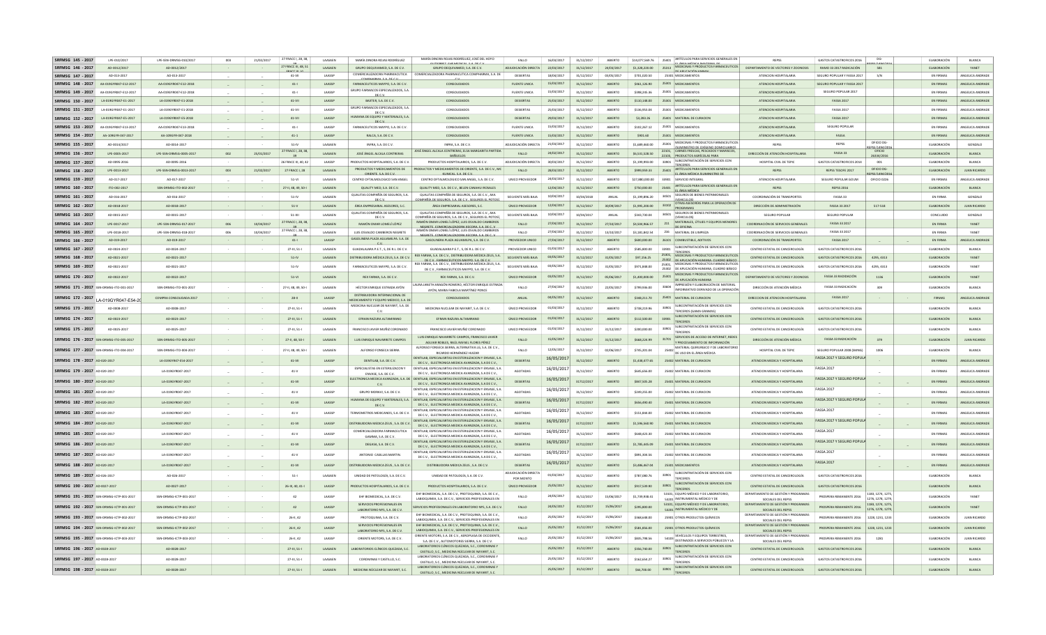| SRFMSG 145 - 2017<br>LPF-010/2017          | LPE-SSN-DRMSG-010/2017  | 003              | 21/02/2017 | 27 FRACC I, 28, 38.                      | <b>LAASAEN</b> | MARÍA DINORA ROJAS RODRÍGUEZ                                                 | MARÍA DINORA ROJAS RODRÍGUEZ. JOSÉ DEL HOYO                                                                                                          | <b>FALLO</b>                                    | 16/03/2017 | 31/12/2017 | ABIERTO        | \$14,077,569.76 | 25401 ARTÍCULOS PARA SERVICIOS GENERALES EN                                               | REPSS                                                                 | <b>GASTOS CATASTROFICOS 2016</b> | DG-                                | <b>ELABORACIÓN</b> | BLANCA              |
|--------------------------------------------|-------------------------|------------------|------------|------------------------------------------|----------------|------------------------------------------------------------------------------|------------------------------------------------------------------------------------------------------------------------------------------------------|-------------------------------------------------|------------|------------|----------------|-----------------|-------------------------------------------------------------------------------------------|-----------------------------------------------------------------------|----------------------------------|------------------------------------|--------------------|---------------------|
| SRFMSG 146 - 2017<br>AD-0012/2017          | AD-0012/2017            |                  |            | 27 FRACC III, 48, 5<br><b>COACCIH VA</b> | <b>LAASAEN</b> | GRUPO DEQUIVAMED, S.A. DE C.V.                                               | GRUPO DEQUIVAMED, S.A. DE C.V.                                                                                                                       | ADJUDICACIÓN DIRECTA                            | 22/03/2017 | 31/12/2017 | 24/03/2017     | \$1,328,220.00  | 25313 MEDICINAS Y PRODUCTOS FARMACEUTICOS<br>DE ADIICACIÓN AN                             | DEPARTAMENTO DE VECTORES Y ZOONOSIS                                   | RAMO 33 2017 RADICACIÓN          | 581                                | ELABORACIÓN        | YANET               |
| SRFMSG 147 - 2017<br>AD-013-2017           | AD-013-2017             |                  |            | 41-VII                                   | LAASSP         | COMERCIALIZADORA PHARMACUTICA                                                | COMERCIALIZADORA PHARMACUTICA COMPHARMA, S.A. DE                                                                                                     | DESIERTAS                                       | 18/04/2017 | 31/12/2017 | 03/05/2017     | \$701,020.50    | 25301 MEDICAMENTOS                                                                        | ATENCION HOSPITALARIA                                                 | SEGURO POPULAR Y FASSA 2017      | S/N                                | EN FIRMAS          | ANGELICA ANDRADI    |
| SRFMSG 148 - 2017<br>AA-019GYR047-E12-2017 | AA-019GYR047-E12-2018   |                  |            | $41 -$                                   | LAASSP         | FARMACEUTICOS MAYPO, S.A. DE C.V                                             | CONSOLIDADOS                                                                                                                                         | <b>FUENTE UNICA</b>                             | 15/03/2017 | 31/12/2017 | ABIERTO        | \$461,126.90    | 25301 MEDICAMENTO                                                                         | ATENCION HOSPITALARIA                                                 | SEGURO POPULAR Y FASSA 2017      |                                    | <b>EN FIRMAS</b>   | ANGELICA ANDRADI    |
| SRFMSG 149 - 2017<br>AA-0196YR047-F12-2017 | AA-019GYR047-E12-2018   |                  |            | $41 - 1$                                 | <b>LAASSP</b>  | GRUPO FARMAÇOS ESPECIALIZADOS, S.A.<br>DEC V                                 | CONSOLIDADOS                                                                                                                                         | FUENTE UNICA                                    | 15/03/2017 | 31/12/2017 | ARIFRTO        | 348 245 36      | 25301 MEDICAMENTOS                                                                        | ATENCION HOSPITALARIA                                                 | SEGURO POPULAR 2017              |                                    | <b>EN FIRMAS</b>   | ANGELICA ANDRADI    |
| SRFMSG 150 - 2017<br>LA-019GYR047-F1-2017  | LA-019GYR047-F1-2018    | $\sim 10^{-1}$   |            | $41 - VI$                                | <b>LAASSP</b>  | BAXTER, S.A. DE C.V.                                                         | CONSOLIDADOS                                                                                                                                         | DESIERTAS                                       | 25/03/2017 | 31/12/2017 | ARIERTO        | \$110,148.00    | 25301 MEDICAMENTOS                                                                        | ATENCION HOSPITALARIA                                                 | <b>FASSA 2017</b>                |                                    | <b>EN FIRMAS</b>   | ANGELICA ANDRADE    |
| SRFMSG 151 - 2017<br>LA-019GYR047-E1-2017  | LA-019GYR047-E1-2018    |                  |            | 41-VII                                   | LAASSP         | GRUPO FARMAÇOS ESPECIALIZADOS, S.A.<br>DE C.V.                               | CONSOLIDADOS                                                                                                                                         | DESIERTAS                                       | 25/03/2017 | 31/12/2017 | ABIERTO        | \$136,953.04    | 25301 MEDICAMENTOS                                                                        | ATENCION HOSPITALARIA                                                 | <b>FASSA 2017</b>                |                                    | EN FIRMAS          | ANGELICA ANDRADI    |
| SRFMSG 152 - 2017<br>LA-019GYR047-F5-2017  | LA-019GYR047-E5-2018    | $\sim$           |            | $41 - VI$                                | <b>LAASSP</b>  | HUMANA DE FOURO Y MATERIALES S.A.<br>nt c v                                  | CONSOLIDADOS                                                                                                                                         | DESIERTAS                                       | 29/03/2017 | 31/12/2017 | ABIERTO        | \$3,283,26      | 25401 MATERIAL DE CURACION                                                                | ATENCION HOSPITALARIA                                                 | <b>FASSA 2017</b>                |                                    | EN FIRMAS          | ANGELICA ANDRADE    |
| SRFMSG 153 - 2017<br>AA-0196YR047-F13-2017 | AA-019GYR047-F13-2018   |                  |            | $41 - 1$                                 | <b>LAASSP</b>  | <b>FARMACEUTICOS MAYPO S.A. DEC V</b>                                        | CONSOLIDADOS                                                                                                                                         | FUENTE UNICA                                    | 15/03/2017 | 31/12/2017 | ARIFRTO        | \$102.267.12    | 25301 MEDICAMENTOS                                                                        | ATENCION HOSPITALARIA                                                 | SEGURO POPULAR                   |                                    | <b>EN FIRMAS</b>   | ANGELICA ANDRADI    |
| SRFMSG 154 - 2017<br>AA-109GYR-047-2017    | AA-109GYR-047-2018      | $\sim 10^{-1}$   |            | $41 - 1$                                 | LAASSP         | RALCA, S.A. DE C.V.                                                          | CONSOLIDADOS                                                                                                                                         | <b>FUENTE UNICA</b>                             | 15/03/2017 | 31/12/2017 | <b>ABIERTO</b> | \$901.60        | 25301 MEDICAMENTOS                                                                        | ATENCION HOSPITALARIA                                                 | FASSA                            |                                    | EN FIRMAS          | ANGELICA ANDRADE    |
| SRFMSG 155 - 2017<br>AD-0014/2017          | AD-0014-2017            |                  |            | $51 - IV$                                | <b>LAASAEN</b> | INFRA. S.A. DE C.V.                                                          | INFRA. S.A. DE C.V.                                                                                                                                  | ADJUDICACIÓN DIRECTA                            | 21/03/2017 | 31/12/2017 | ARIFRTO        | \$1,689,460.00  | MEDICINAS Y PRODUCTOS FARMACEUTICOS<br>25301                                              | REPSS                                                                 | REPSS                            | OFICIO DG-                         | <b>FLARORACIÓN</b> | GONZALO             |
| SRFMSG 156 - 2017<br>LPE-0005-2017         | LPE-SSN-DRMSG-0005-2017 | 002              | 25/01/2017 | 7 FRACC I, 28, 38                        | LAASAEN        | JOSÉ ÁNGEL ALCALA CONTRERAS                                                  | JOSÉ ÁNGEL ALCALA CONTRERAS. ELSA MARGARITA PARTIDA                                                                                                  | FALLO                                           | 24/02/2017 | 31/12/2017 | ABIERTO        | \$6,531,528.50  | <b>ISUMINISTRO DE OXÍGENO DOMICILIARIO</b><br>22101, CARNES FRESCAS, PESCADOS Y MARISCOS, | DIRECCIÓN DE ATENCIÓN HOSPITALARIA                                    | <b>FASSA 33</b>                  | EPSS/1494/2010<br>OFICIO           | ELABORACIÓN        | <b>BLANCA</b>       |
| SRFMSG 157 - 2017<br>AD-0095-2016          | AD-0095-2016            |                  |            | 39<br>26 FRACC III, 40, 4                | LAASSP         | PRODUCTOS HOSPITALARIOS, S.A. DE C.\                                         | <b>BAÑUELOS</b><br>PRODUCTOS HOSPITALARIOS, S.A. DE C.V                                                                                              | ADJUDICACIÓN DIRECTA                            | 30/03/2017 | 31/12/2017 | ABIERTO        | \$1,199,993.00  | 22103, PRODUCTOS AGRÍCOLAS PARA<br>SUBCONTRATACIÓN DE SERVICIOS CON<br>33901              | HOSPITAL CIVIL DE TEPI                                                | <b>GASTOS CATASTROFICOS 201</b>  | 26334/2016<br>001                  | ELABORACIÓN        | BLANCA              |
| SRFMSG 158 - 2017<br>LPE-0013-2017         | LPE-SSN-DRMSG-0013-2017 | 003              | 21/02/2017 | 27 FRACC I, 28                           | LAASAEN        | PRODUCTOS Y MEDICAMENTOS DE                                                  | DUCTOS Y MEDICAMENTOS DE ORIENTE, S.A. DE C.V., MC                                                                                                   | FALLO                                           | 28/03/2017 | 31/12/2017 | ABIERTO        | \$999,959.33    | TERCEROS<br>25401 ARTÍCULOS PARA SERVICIOS GENERALES EN                                   | REPSS                                                                 | REPSS TESOFE 2017                | OFICIO DG-                         | ELABORACIÓN        | <b>JUAN RICARDO</b> |
| SRFMSG 159 - 2017<br>AD-017-2017           | AD-017-2017             |                  |            | $51 - VI$                                | <b>LAASAFN</b> | ORIENTE SA DECV<br>CENTRO OFTALMOLOGICO SAN ANGEL                            | KINICAL SA DECV<br>CENTRO OFTALMOLOGICO SAN ANGEL, S.A. DE C.V.                                                                                      | <b>UNICO PROVEEDOR</b>                          | 24/03/2017 | 31/12/2017 | ARIFRTO        | \$27,880,000.00 | FLÁREA MÉDICA (SUMINISTRO DE<br>33901 SERVICIO INTEGRAL                                   | ΑΤΕΝΟΙΩΝ ΗΩΣΡΙΤΑΙ ΑΒΙΑ                                                | SEGURO POPULAR GOUM              | <b>FPSS/1494/20</b><br>OFICIO 0226 | <b>EN FIRMAS</b>   | ANGELICA ANDRADI    |
| SRFMSG 160 - 2017<br>ITO-002-2017          | SSN-DRMSG-ITO-002-2017  |                  |            | 27-II, 48, 49, 50-I                      | LAASAEN        | QUALITY MED. S.A. DE C.V.                                                    | QUALITY MED. S.A. DE C.V., BELEN CANAHUI ROSALES                                                                                                     |                                                 | 12/04/2017 | 31/12/2017 | ABIERTO        | \$750,000.00    | ARTÍCULOS PARA SERVICIOS GENERALES EN<br>25401<br>EL ÁREA MÉDICA                          | REPSS                                                                 | <b>REPSS 2016</b>                |                                    | ELABORACIÓN        | BLANCA              |
| SRFMSG 161 - 2017<br>AD-016-2017           | AD-016-2017             | $\sim$           |            | 51-IV                                    | <b>LAASAFN</b> | QUALITAS COMPAÑÍA DE SEGUROS, S.A.                                           | OUALITAS COMPAÑÍA DE SEGUROS, S.A. DE C.V., AXA                                                                                                      | SOLVENTE MÁS RAIA                               | 10/04/2017 | 10/04/2018 | ANUAL          | \$1 199 896 20  | SEGUROS DE BIENES PATRIMONIALES<br>34501                                                  | COORDINACIÓN DE TRANSPORTES                                           | <b>FASSA 33</b>                  |                                    | <b>FN FIRMA</b>    | GONZALO             |
| SRFMSG 162 - 2017<br>AD-0018-2017          | AD-0018-2017            | $\sim 100$       |            | $51-V$                                   | LAASAEN        | DE C.V.<br>ÁREA EMPRESARIAL ASESORES, S.C.                                   | OMPAÑÍA DE SEGUROS. S.A. DE C.V SEGUROS EL POTOSÍ.<br>ÁREA EMPRESARIAL ASESORES, S.C.                                                                | ÚNICO PROVEEDOR                                 | 12/04/2017 | 31/12/2017 | 30/09/2017     | \$1,995,200.00  | <b>IVEHICULOSI</b><br>OTRAS ASESORÍAS PARA LA OPERACIÓN DE<br>33102                       | DIRECCIÓN DE ADMINISTRACIÓN                                           | FASSA 33 2017                    | 517-518                            | ELABORACIÓN        | <b>JUAN RICARDO</b> |
| AD-0015-2017<br>SRFMSG 163 - 2017          | AD-0015-2017            |                  |            | $51 - X$                                 | LAASAEN        | QUALITAS COMPAÑÍA DE SEGUROS, S.A                                            | QUALITAS COMPAÑÍA DE SEGUROS, S.A. DE C.V., AXA                                                                                                      | SOLVENTE MÁS BAJA                               | 10/04/2017 | 10/04/2017 | ANUAL          | \$343,730.04    | PROGRAMAS<br>SEGUROS DE BIENES PATRIMONIALE<br>34501                                      | SEGURO POPULAR                                                        | SEGURO POPULAR                   |                                    | CONCLUIDO          | GONZALO             |
| LPE-0017-2017<br>SREMSG 164 - 2017         | LPE-SSN-DRMSG-017-2017  | 006              | 10/04/2017 | 27 FRACC I, 28, 38                       | LAASAEN        | DE C.V.<br>RAMÓN OMAR LOMELÍ LÓPEZ                                           | OMPAÑÍA DE SEGUROS. S.A. DE C.V SEGUROS EL POTOS<br>RAMÓN OMAR LOMELÍ LÓPEZ. LUIS OSVALDO CAMBEROS                                                   | <b>FALLO</b>                                    | 27/04/2017 | 31/12/2017 | 27/10/2017     | \$4,504,966.57  | <b>MEMICULOS</b><br>MATERIALES, ÚTILIES Y EQUIPOS MENORES<br>211                          | COORDINACIÓN DE SERVICIOS GENERALES                                   | FASSA 33 2017                    |                                    | EN FIRMA           | YANET               |
| SRFMSG 165 - 2017<br>LPE-0018-2017         | LPE-SSN-DRMSG-018-201   | 006              | 10/04/2017 | 27 FRACC I, 28, 38                       | LAASAEN        | LUIS OSVALDO CAMBEROS NEGRETE                                                | NEGRETE COMERCIALIZADORA XECORA SA DEC V<br>RAMÓN OMAR LOMELÍ LÓPEZ, LUIS OSVALDO CAMBEROS                                                           | FALLO                                           | 27/04/2017 | 31/12/2017 | 13/10/2017     | \$3,181,842.54  | DE OFICINA<br>216 MATERIAL DE LIMPIEZA                                                    | COORDINACIÓN DE SERVICIOS GENERALES                                   | FASSA 33 2017                    |                                    | EN FIRMA           | YANET               |
| SRFMSG 166 - 2017<br>AD-019-2017           | AD-019-2017             |                  |            | $41 - 1$                                 | LAASSP         | GASOLINERA PLAZA AGUAMILPA. S.A. DI                                          | MEGRETE COMERCIALIZADORA VECORA SA DEC V<br>GASOLINERA PLAZA AGUAMILPA, S.A. DE C.V.                                                                 | PROVEEDOR UNICO                                 | 27/04/2017 | 31/12/2017 | ABIERTO        | \$600,000.0     | 26101 COMBUSTIBLE, ADITIVOS                                                               | COORDINACIÓN DE TRANSPORTES                                           | <b>FASSA 2017</b>                |                                    | EN FIRMA           | ANGELICA ANDRA      |
| SRFMSG 167 - 2017<br>AD-0024-2017          | AD-0024-2017            |                  |            | 27-III, 51-                              | LAASAEM        | $c_{V}$<br>GUADALAJARA P.E.T., S, DE R.L. DE C.V                             | GUADALAJARA P.E.T., S, DE R.L. DE C.V.                                                                                                               | PROVEEDOR UNICO                                 | 01/03/2017 | 31/12/2017 | ABIERTO        | \$585,800.0     | SUBCONTRATACIÓN DE SERVICIOS CON<br>33901                                                 | CENTRO ESTATAL DE CANCEROLOGÍA                                        | <b>GASTOS CATASTROFICOS 2016</b> |                                    | ELABORACIÓN        | BLANCA              |
| SRFMSG 168 - 2017<br>AD-0021-2017          | AD-0021-2017            |                  |            | $51 - IV$                                | <b>LAASAEN</b> | DISTRIBUIDORA MÉDICA ZEUS, S.A. DE C.V.                                      | FARMA, S.A. DE C.V., DISTRIBUIDORA MÉDICA ZEUS, S.A                                                                                                  | SOLVENTE MÁS RAJA                               | 03/05/2017 | 31/12/2017 | 31/05/2017     | \$97,156.25     | <b>TERCEROS</b><br>25301, MEDICINAS Y PRODUCTOS FARMACEUTICO:                             | CENTRO ESTATAL DE CANCEROLOGÍA                                        | GASTOS CATASTROFICOS 2016        | 4295.4313                          | ELABORACIÓN        | YANET               |
| SRFMSG 169 - 2017<br>AD-0021-2017          | AD-0021-2017            |                  |            | $51 - IV$                                | LAASAEN        | FARMACEUTICOS MAYPO, S.A. DE C.V                                             | DECV EARMACEUTICOS MAVRO SA DECV<br>REX FARMA, S.A. DE C.V., DISTRIBUIDORA MÉDICA ZEUS, S.A.                                                         | SOLVENTE MÁS BAJA                               | 03/05/2017 | 31/12/2017 | 31/05/201      | \$971,848.00    | 25302 DE ABUCACIÓN HUMANA CUADRO RÁSICO<br>25301 MEDICINAS Y PRODUCTOS FARMACEUTICOS      | CENTRO ESTATAL DE CANCEROLOGÍA                                        | <b>GASTOS CATASTROFICOS 2016</b> | 4295, 4313                         | ELABORACIÓN        | YANET               |
|                                            |                         |                  |            |                                          |                |                                                                              | DE C.V., FARMACEUTICOS MAYPO, S.A. DE C.V.                                                                                                           |                                                 |            |            |                |                 | 25302 DE APLICACIÓN HUMANA, CUADRO BÁSICO<br>MEDICINAS Y PRODUCTOS FARMACEUTICO:          |                                                                       |                                  |                                    |                    |                     |
| SRFMSG 170 - 2017<br>AD-0022-2017          | AD-0022-2017            |                  |            | $51-Vl$                                  | LAASAEN        | REX FARMA, S.A. DE C.V.                                                      | REX FARMA, S.A. DE C.V.<br>LAURA JANETH ARAGÓN ROMERO, HÉCTOR ENRIQUE ESTRADA                                                                        | ÚNICO PROVEEDOR                                 | 03/05/2017 | 31/12/2017 | 05/06/2017     | \$1,400,000.00  | 25301<br>DE APLICACIÓN HUMANA<br>IMPRESIÓN Y ELABORACIÓN DE MATERIAI                      | DEPARTAMENTO DE VECTORES Y ZOONOSIS                                   | FASSA 33 RADIDACIÓN              | 1136                               | ELABORACIÓN        | YANET               |
| SRFMSG 171 - 2017 SSN<br>DRMSG-ITO-001-201 | SSN-DRMSG-ITO-001-2017  |                  |            | 27-II, 48, 49, 50-                       | LAASAEN        | HÉCTOR ENRIQUE ESTRADA AYÓN                                                  | AYÓN, MARIA FABIOLA MARTÍNEZ PONCE                                                                                                                   | FALLO                                           | 27/04/2017 | 31/12/2017 | 22/05/201      | \$799,936.00    | 33604<br>INFORMATIVO DERIVADO DE LA OPERACIÓN                                             | DIRECCIÓN DE ATENCIÓN MÉDICA                                          | FASSA 33 RADICACIÓN              | 309                                | ELABORACIÓN        | BLANCA              |
| SRFMSG 172 - 2017<br>A-019GYR047-F54-20    | COMPRA CONSOLIDADA 2017 |                  |            | $28 - 11$                                | LAASSP         | DISTRIBUIDORA INTERNACIONAL DE<br><b>IEDICAMENTO Y EQUIPO MEDICO, S.A. D</b> | CONSOLIDADOS                                                                                                                                         | ANUAL                                           | 04/05/2017 | 31/12/2017 | ABIERTO        | \$348,211.70    | 25401 MATERIAL DE CURACION                                                                | DIRECCION DE ATENCION HOSPITALARIA                                    | <b>FASSA 2017</b>                |                                    | FIRMAS             | ANGELICA ANDRADI    |
| SRFMSG 173 - 2017<br>AD-0008-2017          | AD-0008-2017            | $\sim$           |            | 27-III, 51-I                             | LAASAEM        | MEDICINA NUCLEAR DE NAYARIT, S.A. DE                                         | MEDICINA NUCLEAR DE NAYARIT, S.A. DE C.V.                                                                                                            | ÚNICO PROVEEDOR                                 | 01/03/2017 | 31/12/201  | ABIERTO        | \$738,219.9     | SUBCONTRATACIÓN DE SERVICIOS CON<br>33901<br>TERCEROS (GAMA GRAMA)                        | CENTRO ESTATAL DE CANCEROLOGÍA                                        | <b>GASTOS CATASTROFICOS 201</b>  |                                    | ELABORACIÓN        | BLANCA              |
| SRFMSG 174 - 2017<br>AD-0023-2017          | AD-0023-2017            |                  |            | 27-III, 51-I                             | LAASAEN        | EFRAIN RAZURA ALTAMIRANO                                                     | EFRAIN RAZURA ALTAMIRANO                                                                                                                             | ÚNICO PROVEEDOR                                 | 01/03/2017 | 31/12/2017 | ABIERTO        | \$112,500.00    | SUBCONTRATACIÓN DE SERVICIOS CON<br>33901<br>TERCEROS                                     | CENTRO ESTATAL DE CANCEROLOGÍA                                        | <b>GASTOS CATASTROFICOS 2016</b> |                                    | ELABORACIÓN        | BLANCA              |
| SRFMSG 175 - 2017<br>AD-0025-2017          | AD-0025-2017            |                  |            | 27-III, 51-I                             | LAASAEN        | FRANCISCO JAVIER MUÑIZ CORONADO                                              | FRANCISCO JAVIER MUÑIZ CORONADO                                                                                                                      | UNICO PROVEEDOR                                 | 01/03/2017 | 31/12/2017 | 31/12/201      | \$200,000.00    | SUBCONTRATACIÓN DE SERVICIOS CON<br>33901<br>TERCEROS                                     | CENTRO ESTATAL DE CANCEROLOGÍA                                        | <b>GASTOS CATASTROFICOS 2016</b> |                                    | ELABORACIÓN        | BLANCA              |
| SRFMSG 176 - 2017 SSN-DRMSG-ITO-005-2017   | SSN-DRMSG-ITO-005-2017  |                  |            | 27-II, 48, 50-                           | LAASAEN        | LUIS ENRIQUE NAVARRETE CAMPOS                                                | LUIS ENRIQUE NAVARRETE CAMPOS, FRANCISCO JAVIER                                                                                                      | FALLO                                           | 15/05/2017 | 31/12/2017 | 31/12/2017     | \$668,224.99    | SERVICIOS DE ACCESO DE INTERNET, REDES<br>31701                                           | DIRECCIÓN DE ATENCIÓN MÉDICA                                          | FASSA 33 RADICACIÓN              | 379                                | ELABORACIÓN        | <b>JUAN RICARDO</b> |
| SRFMSG 177 - 2017 SSN-DRMSG-ITO-004-2017   | SSN-DRMSG-ITO-004-2017  | $\sim$           |            | 27-II, 48, 49, 50-                       | LAASAEN        | ALFONSO FONSECA SIERRA                                                       | AGUIAR ROBLES, RAÚL RAFAEL FLORES PÉREZ<br>ALFONSO FONSECA SIERRA ALTERNATIVA LG S.A. DE C.V.                                                        | FALLO                                           | 12/05/2017 | 31/12/2017 | 02/06/201      | \$745.201.04    | Y PROCESAMIENTO DE INFORMACIÓN<br>25402 MATERIAL QUIRURGICO Y DE LABORATORIO              | HOSPITAL CIVIL DE TEPIC                                               | SEGURO POPULAR 2008 (SMNG)       | 1006                               | ELABORACIÓN        | BLANCA              |
|                                            |                         |                  |            |                                          |                |                                                                              | RICARDO HERNÁNDEZ HUIZAR<br>DENTILAR ESPECIALISRTAS EN ESTERILIZACIÓN Y ENVASE S.A.                                                                  |                                                 | 16/05/2017 |            |                |                 | DE USO EN EL ÁREA MÉDICA                                                                  |                                                                       | <b>FASSA 2017 Y SEGURO POPUL</b> |                                    |                    |                     |
| SRFMSG 178 - 2017 AD-020-2017              | LA-019GYR47-E54-2017    | $\sim$           |            | $41 - VI$                                | LAASSP         | DENTILAB, S.A. DE C.V.<br>ESPECIALISTAS EN ESTERILIZACON Y                   | DE C.V., ELECTRONICA MEDICA AVANZADA, S.A DE C.V.,<br>DENTILAB, ESPECIALISRTAS EN ESTERILIZACION Y ENVASE, S.A.                                      | DESIERTAS                                       |            | 31/12/2017 | ABIERTO        | \$1,438,477.65  | 25402 MATERIAL DE CURACION                                                                | ATENCION MEDICA Y HOSPITALARIA                                        | <b>FASSA 2017</b>                |                                    | EN FIRMAS          | ANGELICA ANDRADE    |
| SRFMSG 179 - 2017 AD-020-2017              | LA-019GYR047-2017       | $\sim$           |            | $41-V$                                   | LAASSP         | ENVASE, S.A. DE C.V.                                                         | DE C.V., ELECTRONICA MEDICA AVANZADA, S.A DE C.V.,                                                                                                   | AGOTADAS                                        | 16/05/2017 | 31/12/2017 | ABIERTO        | \$645,656.00    | 25402 MATERIAL DE CURACION                                                                | ATENCION MEDICA Y HOSPITALARIA                                        |                                  |                                    | EN FIRMAS          | ANGELICA ANDRADE    |
| SRFMSG 180 - 2017 AD-020-2017              | LA-019GYR047-2017       |                  |            | 41-VII                                   | LAASSP         | C.V.                                                                         | ELECTRONICA MEDICA AVANZADA, S.A. DE DENTILAB, ESPECIALISRTAS EN ESTERILIZACION Y ENVASE, S.A.<br>DE C.V., ELECTRONICA MEDICA AVANZADA, S.A DE C.V., | <b>DESIERTAS</b>                                | 16/05/2017 | 31712/2017 | ABIERTO        | \$847,505.28    | 25401 MATERIAL DE CURACION                                                                | ATENCION MEDICA Y HOSPITALARIA                                        | FASSA 2017 Y SEGURO POPUL        |                                    | <b>EN FIRMAS</b>   | ANGELICA ANDRADE    |
| SRFMSG 181 - 2017 AD-020-2017              | LA-019GYR047-2017       |                  |            | $41-V$                                   | LAASSP         | GRUPO MORAVI, S.A. DE C.V.                                                   | DENTILAB. ESPECIALISRTAS EN ESTERILIZACION Y ENVASE. S.A.<br>DE C.V., ELECTRONICA MEDICA AVANZADA, S.A DE C.V.,                                      | AGOTADAS                                        | 16/05/2017 | 31/12/2017 | ABIERTO        | \$249,255.00    | 25402 MATERIAL DE CURACION                                                                | ATENCION MEDICA Y HOSPITALARIA                                        | <b>FASSA 2017</b>                |                                    | EN FIRMAS          | ANGELICA ANDRADE    |
| SRFMSG 182 - 2017 AD-020-2017              | LA-019GYR047-2017       | $\alpha=1$       |            | $41 - VI$                                | LAASSP         | HUMANA DE FOUIPO Y MATERIALES S.A.<br>DE C.V.                                | DENTILAR ESPECIALISRTAS EN ESTERILIZACIÓN Y ENVASE S.A.<br>DE C.V., ELECTRONICA MEDICA AVANZADA, S.A DE C.V.,                                        | DESIERTAS                                       | 16/05/2017 | 31712/2017 | ABIERTO        | \$656,490.40    | 25401 MATERIAL DE CURACION                                                                | ATENCION MEDICA Y HOSPITALARIA                                        | FASSA 2017 Y SEGURO POPUL        |                                    | EN FIRMAS          | ANGELICA ANDRADE    |
| SRFMSG 183 - 2017 AD-020-2017              | LA-019GYR047-2017       | $\sim$           |            | $41-V$                                   | LAASSP         | TERMOMETROS MEXICANOS, S.A. DE C.V.                                          | DENTILAR ESPECIALISRTAS EN ESTERILIZACIÓN Y ENVASE S.A.<br>DE C.V., ELECTRONICA MEDICA AVANZADA, S.A DE C.V.,                                        | AGOTADAS                                        | 16/05/2017 | 31/12/2017 | ABIERTO        | \$151,844.0     | 25402 MATERIAL DE CURACIÓN                                                                | ATENCION MEDICA Y HOSPITALARIA                                        | <b>FASSA 2017</b>                |                                    | EN FIRMAS          | ANGELICA ANDRADE    |
| SRFMSG 184 - 2017 AD-020-2017              | LA-019GYR047-2017       |                  |            | 41-VII                                   | LAASSP         | DISTRIBUIDORA MEDICA ZEUS, S.A. DE C.V.                                      | DENTILAR ESPECIALISRTAS EN ESTERILIZACIÓN Y ENVASE S.A.<br>DE C.V., ELECTRONICA MEDICA AVANZADA, S.A DE C.V.,                                        | DESIERTAS                                       | 16/05/2017 | 31712/2017 | ABIERTO        | \$1,596,560.90  | 25401 MATERIAL DE CURACION                                                                | ATENCION MEDICA Y HOSPITALARIA                                        | FASSA 2017 Y SEGURO POPUL        |                                    | <b>EN FIRMAS</b>   | ANGELICA ANDRADE    |
| SRFMSG 185 - 2017 AD-020-2017              | LA-019GYR047-2017       | $\sim$           |            | $41-V$                                   | LAASSP         | COMERCIALIZADORA FARMACEUTICA                                                | DENTILAB. ESPECIALISRTAS EN ESTERILIZACIÓN Y ENVASE, S.A.                                                                                            | AGOTADAS                                        | 16/05/2017 | 31/12/2017 | ABIERTO        | \$648,423.30    | 25402 MATERIAL DE CURACION                                                                | ATENCION MEDICA Y HOSPITALARIA                                        | <b>FASSA 2017</b>                |                                    | EN FIRMAS          | ANGELICA ANDRADE    |
| SRFMSG 186 - 2017 AD-020-2017              | LA-019GYR047-2017       |                  |            | 41-VII                                   | LAASSP         | GAMMA, S.A. DE C.V<br>DEGASA, S.A. DE C.V.                                   | DE C.V., ELECTRONICA MEDICA AVANZADA, S.A DE C.V.,<br>DENTILAB, ESPECIALISRTAS EN ESTERILIZACION Y ENVASE, S.A.                                      | <b>DESIERTAS</b>                                | 16/05/2017 | 31712/2017 | ABIERTO        | \$1,785,445.09  | 25401 MATERIAL DE CURACION                                                                | ATENCION MEDICA Y HOSPITALARIA                                        | FASSA 2017 Y SEGURO POPUI        |                                    | <b>EN FIRMAS</b>   | ANGELICA ANDRADE    |
| SRFMSG 187 - 2017 AD-020-2017              |                         | $\sim$           |            |                                          |                | ANTONIO CASILLAS MARTIN.                                                     | DE C.V., ELECTRONICA MEDICA AVANZADA, S.A DE C.V.,<br>DENTILAR ESPECIALISRTAS EN ESTERILIZACIÓN Y ENVASE S.A.                                        |                                                 | 16/05/2017 |            |                |                 |                                                                                           |                                                                       | <b>FASSA 2017</b>                |                                    |                    | ANGELICA ANDRADE    |
|                                            | LA-019GYR047-2017       |                  |            | $41-V$                                   | LAASSP         |                                                                              | DE C.V., ELECTRONICA MEDICA AVANZADA, S.A DE C.V.,                                                                                                   | AGOTADAS                                        | 16/05/2017 | 31/12/2017 | ABIERTO        | \$891.304.56    | 25402 MATERIAL DE CURACION                                                                | ATENCION MEDICA Y HOSPITALARIA                                        | <b>FASSA 2017</b>                |                                    | EN FIRMAS          |                     |
| SRFMSG 188 - 2017 AD-020-2017              | LA-019GYR047-2017       | $\sim$           |            | $41 - VI$                                | LAASSP         | DISTRIBUIDORA MEDICA ZEUS . S.A. DE C.V.                                     | DISTRIBUIDORA MEDICA ZEUS . S.A. DE C.V.                                                                                                             | <b>DESIERTAS</b><br><b>ADJUDICACIÓN DIRECTA</b> |            | 31/12/2017 | ABIERTO        | \$3,486,467.04  | 25301 MEDICAMENTOS<br>SUBCONTRATACIÓN DE SERVICIOS CON                                    | ATENCION MEDICA Y HOSPITALARIA                                        |                                  |                                    | EN FIRMAS          | ANGELICA ANDRADE    |
| SRFMSG 189 - 2017 AD-026-2017              | AD-026-2017             | $\sim 100$       |            | $51 -$                                   | LAASAEN        | UNIDAD DE PATOLOGÍA, S.A. DE C.V.                                            | UNIDAD DE PATOLOGÍA, S.A. DE C.V.                                                                                                                    | POR MONTO                                       | 01/03/2017 | 31/12/2017 | ABIERTO        | \$787.080.76    | 33901<br>TERCERO:<br>33901 SUBCONTRATACIÓN DE SERVICIOS CON                               | CENTRO ESTATAL DE CANCEROLOGÍA                                        | <b>GASTOS CATASTROFICOS 2016</b> |                                    | ELABORACIÓN        | <b>BLANCA</b>       |
| SRFMSG 190 - 2017 AD-0027-2017             | AD-0027-2017            | $\sim 100$       |            | 26-III, 40, 41-I                         | LAASSP         | PRODUCTOS HOSPITALARIOS, S.A. DE C.V.                                        | PRODUCTOS HOSPITALARIOS, S.A. DE C.V.<br>EHF BIOMEDICAL, S.A. DE C.V., PROTOQUIMA, S.A. DE C.V.                                                      | ÚNICO PROVEEDOR                                 | 25/05/2017 | 31/12/2017 | ABIERTO        | \$917,539.90    | <b>TERCEROS</b>                                                                           | CENTRO ESTATAL DE CANCEROLOGÍA<br>DEPARTAMENTO DE GESTIÓN Y PROGRAMAS | <b>GASTOS CATASTROFICOS 2016</b> | 1183.1274.1275                     | ELABORACIÓN        | BLANCA              |
| SRFMSG 191 - 2017 SSN-DRMSG-ICTP-001-2017  | SSN-DRMSG-ICTP-001-2017 | $\sim$           |            | 42                                       | LAASSP         | EHF BIOMEDICAL, S.A. DE C.V.                                                 | LABIOQUIMIA, S.A. DE C.V., SERVICIOS PROFESIONALES EN                                                                                                | FALLO                                           | 24/05/2017 | 31/12/2017 | 15/06/2017     | \$1,739,938.41  | 53101, EQUIPO MÉDICO Y DE LABORATORIO,<br>53201 INSTRUMENTAL MÉDICO Y DE                  | SOCIALES DEL REPSS                                                    | PROSPERA REMANENTE 2016          | 1276.1278.1279.                    | ELABORACIÓN        | YANET               |
| SREMSG 192 - 2017 SSN-DRMSG-ICTP-001-2017  | SSN-DRMSG-ICTP-001-2017 | $\sim 100$       |            | 42                                       | LAASSP         | SERVICIOS PROFESIONALES EN<br>LABORATORIO NYS, S.A. DE C.V.                  | SERVICIOS PROFESIONALES EN LABORATORIO NYS. S.A. DE C.V.                                                                                             | FALLO                                           | 24/05/2017 | 31/12/2017 | 15/06/2017     | \$295,800.00    | 53101. EQUIPO MÉDICO Y DE LABORATORIO.<br>53201 INSTRUMENTAL MÉDICO Y DE                  | DEPARTA<br>MENTO DE GESTIÓN Y PROGRAMA:<br>SOCIALES DEL REPSS         | PROSPERA REMANENTE 2016          | 1183.1274.1275<br>1276, 1278, 1279 | ELABORACIÓN        | YANET               |
| SREMSG 193 - 2017 SSN-DRMSG-ICTP-002-2017  | SSN-DRMSG-ICTP-002-2017 | $\sim$ 100 $\mu$ |            | 26-11, 42                                | LAASSP         | PROTOQUIMA, S.A. DE C.V.                                                     | EHF BIOMEDICAL, S.A. DE C.V., PROTOQUIMA, S.A. DE C.V.<br>LABIOQUIMIA, S.A. DE C.V., SERVICIOS PROFESIONALES EN                                      | FALLO                                           | 25/05/2017 | 31/12/2017 | 15/06/2017     | \$368,648.00    | 25901 OTROS PRODUCTOS QUÍMICOS                                                            | DEPARTAN<br><b>IENTO DE GESTIÓN Y PROGRAMA:</b><br>SOCIALES DEL REPSS | PROSPERA REMANENTE 2016          | 1228.1231.1233                     | ELABORACIÓN        | <b>JUAN RICARDO</b> |
| SREMSG 194 - 2017 SSN-DRMSG-ICTP-002-2017  | SSN-DRMSG-ICTP-002-2017 | $\sim 100$       |            | 26-11, 42                                | LAASSP         | SERVICIOS PROFESIONALES EN<br>LABORATORIO NYS, S.A. DE C.V.                  | EHF BIOMEDICAL, S.A. DE C.V., PROTOQUIMA, S.A. DE C.V.<br>LABIOQUIMIA, S.A. DE C.V., SERVICIOS PROFESIONALES EN                                      | FALLO                                           | 25/05/2017 | 31/12/2017 | 15/06/2017     | \$581,856.00    | 25901 OTROS PRODUCTOS QUÍMICOS                                                            | DEPARTAMENTO DE GESTIÓN Y PROGRAMA:<br>SOCIALES DEL REPSS             | PROSPERA REMANENTE 2016          | 1228, 1231, 1233                   | ELABORACIÓN        | <b>JUAN RICARDO</b> |
| SRFMSG 195 - 2017 SSN-DRMSG-ICTP-003-2017  | SSN-DRMSG-ICTP-003-2017 | $\sim 100$       |            | 26-11, 42                                | LAASSP         | ORIENTE MOTORS, S.A. DE C.V.                                                 | ORIENTE MOTORS, S.A. DE C.V., AEROPLASA DE OCCIDENTE<br>S.A. DE C.V., AUTOMOTORES SIERRA, S.A. DE C.V.                                               | FALLO                                           | 25/05/2017 | 31/12/2017 | 15/06/2017     | \$835,798.56    | VEHÍCULOS Y EQUIPOS TERRESTRES.<br>54103 DESTINADOS A SERVICIOS PÚBLICOS Y LA             | DEPARTAMENTO DE GESTIÓN Y PROGRAMA:<br>SOCIALES DEL REPSS             | PROSPERA REMANENTE 2016          | 1281                               | ELABORACIÓN        | <b>JUAN RICARDO</b> |
| SRFMSG 196 - 2017 AD-0028-2017             | AD-0028-2017            |                  |            | 27-III, 51-I                             | LAASAEN        | LABORATORIOS CLÍNICOS QUEZADA, S.C.                                          | ABORATORIOS CLÍNICOS QUEZADA, S.C., COROMINAS<br>CASTILLO, S.C., MEDICINA NÚCLEAR DE NAYARIT, S.C.                                                   |                                                 | 25/05/2017 | 31/12/2017 | ABIERTO        | \$356,740.00    | SUBCONTRATACIÓN DE SERVICIOS CON<br>33901<br>TERCEROS                                     | CENTRO ESTATAL DE CANCEROLOGÍA                                        | <b>GASTOS CATASTROFICOS 2016</b> |                                    | ELABORACIÓN        | <b>BLANCA</b>       |
| SREMSG 197 - 2017 AD-0028-2017             | AD-0028-2017            |                  |            | 27-11 51-1                               | <b>LAASAEN</b> | COROMINAS Y CASTILLO S.C.                                                    | LABORATORIOS CLÍNICOS QUEZADA, S.C., COROMINAS                                                                                                       |                                                 | 25/05/2017 | 31/12/2017 | ARIFRTO        | \$162,654.27    | SUBCONTRATACIÓN DE SERVICIOS CON<br>33901                                                 | CENTRO ESTATAL DE CANCEROLOGÍA                                        | <b>GASTOS CATASTROFICOS 2016</b> |                                    | <b>FLARORACIÓN</b> | <b>BLANCA</b>       |
|                                            |                         |                  |            |                                          |                |                                                                              | CASTILLO, S.C., MEDICINA NÚCLEAR DE NAYARIT, S.C.<br>LABORATORIOS CLÍNICOS QUEZADA, S.C., COROMINAS                                                  |                                                 |            |            |                |                 | TERCEROS<br>SUBCONTRATACIÓN DE SERVICIOS CON                                              |                                                                       |                                  |                                    |                    |                     |
| SREMSG 198 - 2017 AD-0028-2017             | AD-0028-2017            |                  |            | 27-III, 51-I                             | LAASAEN        | MEDICINA NÚCLEAR DE NAYARIT, S.C.                                            | CASTILLO, S.C., MEDICINA NÚCLEAR DE NAYARIT, S.C.                                                                                                    |                                                 | 25/05/2017 | 31/12/2017 | ABIERTO        | \$66,700.00     | 33901<br><b>TERCEROS</b>                                                                  | CENTRO ESTATAL DE CANCEROLOGÍA                                        | <b>GASTOS CATASTROFICOS 2016</b> |                                    | ELABORACIÓN        | BLANCA              |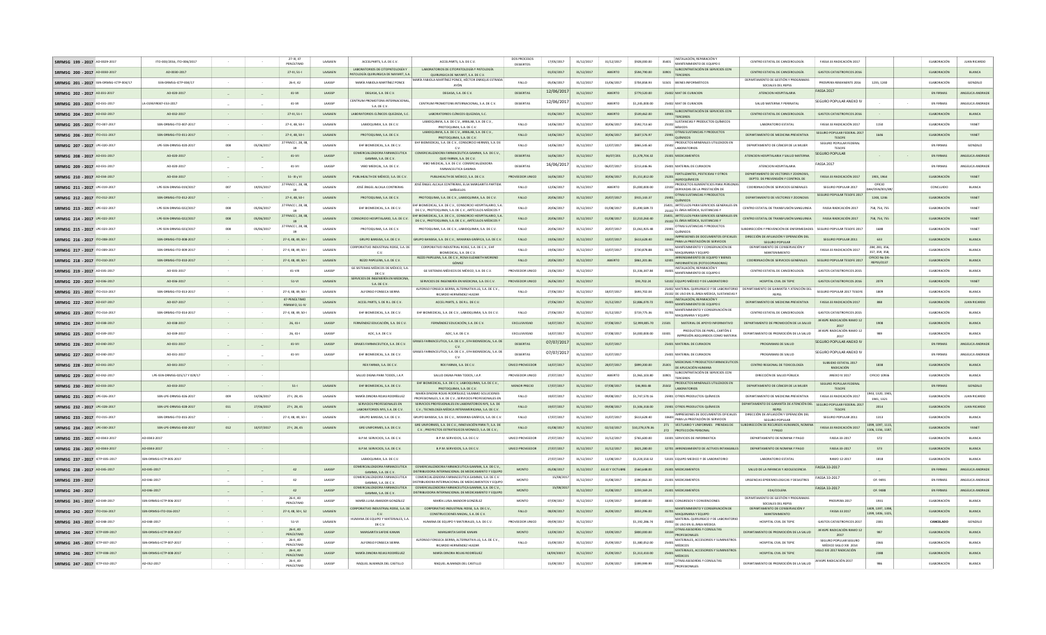| SRFMSG 199 - 2017 AD-0029-2017          | ITO-003/2016, ITO-006/2017                        |                      |            | 27-III, 47<br>PENÚLTIMO              | LAASAEN                  | ACCELPARTS, S.A. DE C.V.                                                 | ACCELPARTS, S.A. DE C.V.                                                                                             | DOS PROCESOS<br><b>DESIERTOS</b> | 17/05/2017  | 31/12/2017               | 31/12/2017               | \$928,000.00                 | INSTALACIÓN, REPARACIÓN<br>35401 MANTENIMIENTO DE EQUIPO E                                           | CENTRO ESTATAL DE CANCEROLOGÍA                                           | <b>FASSA 33 RADICACIÓN 2017</b>                    |                                | ELABORACIÓN                | <b>JUAN RICARDO</b> |
|-----------------------------------------|---------------------------------------------------|----------------------|------------|--------------------------------------|--------------------------|--------------------------------------------------------------------------|----------------------------------------------------------------------------------------------------------------------|----------------------------------|-------------|--------------------------|--------------------------|------------------------------|------------------------------------------------------------------------------------------------------|--------------------------------------------------------------------------|----------------------------------------------------|--------------------------------|----------------------------|---------------------|
| SRFMSG 200 - 2017 AD-0030-2017          | AD-0030-2017                                      |                      |            | 27-III, 51-I                         | LAASAEN                  | LABORATORIOS DE CITOPATOLOGÍA Y<br>PATOLOGÍA QUIRURGICA DE NAYARIT. S.A. | LABORATORIOS DE CITOPATOLOGÍA Y PATOLOGÍA<br>QUIRURGICA DE NAYARIT, S.A. DE C.V.                                     |                                  | 01/03/2017  | 31/12/2017               | ABIERTO                  | \$594,790.00                 | SUBCONTRATACIÓN DE SERVICIOS CON<br>33901<br><b>TERCEROS</b>                                         | CENTRO ESTATAL DE CANCEROLOGÍA                                           | <b>GASTOS CATASTROFICOS 2016</b>                   |                                | ELABORACIÓN                | BLANCA              |
| SRFMSG 201 - 2017 SSN-DRMSG-ICTP-004/17 | SSN-DRMSG-ICTP-004/17                             | $\sim$               |            | 26-II, 42                            | LAASSP                   | MARÍA FABIOLA MARTÍNEZ PONCE                                             | MARÍA FABIOLA MARTÍNEZ PONCE, HÉCTOR ENRIQUE ESTRADA<br>AYÓN                                                         | FALLO                            | 05/06/2017  | 31/12/2017               | 15/06/2017               | \$704,858.93                 | 51501 BIENES INFORMÁTICOS                                                                            | DEPARTAMENTO DE GESTIÓN Y PROGRAMA:<br>SOCIALES DEL REPSS                | PROSPERA REMANENTE 2016                            | 1235, 1240                     | ELABORACIÓN                | GONZALO             |
| SRFMSG 202 - 2017 AD.031-2017           | AD-020-2017                                       | $\sim$ $-$           |            | 41-VII                               | LAASSP                   | DEGASA, S.A. DE C.V.                                                     | DEGASA, S.A. DE C.V.                                                                                                 | <b>DESIERTAS</b>                 | 12/06/2017  | 31/12/2017               | ABIERTO                  | \$779,520.00                 | 25402 MAT DE CURACION                                                                                | ATENCION HOSPITALARIA                                                    | <b>FASSA 2017</b>                                  |                                | <b>EN FIRMAS</b>           | ANGELICA ANDRADI    |
| SRFMSG 203 - 2017 AD-031-2017           | LA-019GYR047-E53-2017                             |                      |            | 41-VII                               | LAASSP                   | CENTRUM PROMOTORA INTERNACIONAL<br>S.A. DE C.V.                          | CENTRUM PROMOTORA INTERNACIONAL, S.A. DE C.V.                                                                        | DESIERTAS                        | 12/06/2017  | 31/12/2017               | ABIERTO                  | \$1,245,000.00               | 25402 MAT DE CURACION                                                                                | SALUD MATERNA Y PERINATAL                                                | SEGURO POPULAR ANEXO IV                            |                                | EN FIRMAS                  | ANGELICA ANDRAD     |
| SRFMSG 204 - 2017 AD-032-2017           | AD-032-2017                                       | $\sim 100$           |            | 27-III, 51-I                         | LAASAEN                  | LABORATORIOS CLÍNICOS QUEZADA, S.C.                                      | LABORATORIOS CLÍNICOS QUEZADA, S.C.                                                                                  |                                  | 01/06/2017  | 31/12/2017               | ABIERTO                  | \$539,462.00                 | SUBCONTRATACIÓN DE SERVICIOS CON<br>33901<br>TERCEROS                                                | CENTRO ESTATAL DE CANCEROLOGÍA                                           | <b>GASTOS CATASTROFICOS 2016</b>                   |                                | ELABORACIÓN                | BLANCA              |
| SRFMSG 205 - 2017 ITO-007-2017          | SSN-DRMSG-ITO-007-2017                            |                      |            | 27-II, 48, 50-I                      | LAASAEN                  | LABIOQUIMIA, S.A. DE C.V.                                                | LABIOQUIMIA, S.A. DE C.V., ARBILAB, S.A. DE C.V.<br>PROTOQUIMA, S.A. DE C.V                                          | FALLO                            | 14/06/2017  | 31/12/2017               | 30/06/2017               | \$592,713.60                 | SUSTANCIAS Y PRODUCTOS QUÍMICOS<br>$25102$ $\overline{\text{BÁSICOS}}$                               | LABORATORIO ESTATAL                                                      | FASSA 33 RADICACIÓN 2017                           | 1150                           | ELABORACIÓN                | <b>YANET</b>        |
| SRFMSG 206 - 2017 10-011-2017           | SSN-DRMSG-ITO-011-2017                            | $\sim 10^{-1}$       |            | 27-II, 48, 50-I                      | LAASAEN                  | PROTOQUIMA, S.A. DE C.V.                                                 | LABIOQUIMIA, S.A. DE C.V., ARBILAB, S.A. DE C.V.<br>PROTOQUIMA, S.A. DE C.V.                                         | FALLO                            | 14/06/2017  | 31/12/2017               | 30/06/2017               | S607.576.97                  | OTRAS SUSTANCIAS Y PRODUCTOS<br>25901<br>QUÍMICOS                                                    | DEPARTAMENTO DE MEDICINA PREVENTIVA                                      | SEGURO POPULAR FEDERAL 2017<br><b>TESOFE</b>       | 1646                           | ELABORACIÓN                | YANET               |
| SREMSG 207 - 2017 IPF-020-2017          | LPF-SSN-DRMSG-020-2017                            | 008                  | 05/06/2017 | 27 FRACC I, 28, 3                    | <b>LAASAEN</b>           | FHE BIOMEDICAL SAIDECV                                                   | EHF BIOMEDICAL, S.A. DE C.V., CONSORCIO HERMES, S.A. DE                                                              | <b>FALLO</b>                     | 14/06/2017  | 31/12/2017               | 12/07/2017               | \$865,545.60                 | PRODUCTOS MINERALES UTILIZADOS EN<br>25502<br>LABORATORIOS                                           | DEPARTAMENTO DE CÁNCER DE LA MUJER                                       | SEGURO POPULAR FEDERAL<br>TESOFE                   |                                | <b>EN FIRMAS</b>           | GONZALO             |
| SREMSG 208 - 2017 AD-031-2017           | AD-020-2017                                       | $\sim$ $-$           |            | $41 - V1$                            | LAASSP                   | COMERCIALIZADORA FARMACEUTICA<br>GAMMA, S.A. DE C.V.                     | COMERCIALIZADORA FARMACEUTICA GAMMA, S.A. DE C.V.,<br>QUO FARMA, S.A. DE C.V.                                        | <b>DESIERTAS</b>                 | 16/06/2017  | 31/12/2017               | 06/07/201                | \$1,378,704.32               | 25301 MEDICAMENTOS                                                                                   | ATENCION HOSPITALARIA Y SALUD MATERNA                                    | <b>SEGURO POPULAR</b>                              |                                | <b>EN FIRMAS</b>           | ANGELICA ANDRADI    |
| SREMSG 209 - 2017 AD-031-2017           | AD-020-2017                                       |                      |            | 41-VII                               | <b>LAASSP</b>            | VIRO MEDICAL S.A. DEC.V.                                                 | VIBO MEDICAL, S.A. DE C.V. COMERCIALIZADORA<br>FARMACEUTICA GAMMA                                                    | DESIERTAS                        | 16/06/2017  | 31/12/2017               | 06/07/2017               | \$213,446.96                 | 25401 MATERIAL DE CURACION                                                                           | ATENCION HOSPITALARIA                                                    | <b>FASSA 2017</b>                                  |                                | <b>EN FIRMAS</b>           | ANGELICA ANDRADI    |
| SRFMSG 210 - 2017 AD-034-2017           | AD-034-2017                                       | $\sim 10^{-1}$       |            | 51-III y VI                          | LAASAEN                  | PUBLIHEALTH DE MÉXICO, S.A. DE C.V.                                      | PUBLIHEALTH DE MÉXICO, S.A. DE C.V.                                                                                  | PROVEEDOR UNICO                  | 16/06/2017  | 31/12/2017               | 30/06/2017               | \$5,151,812.00               | FERTILIZANTES, PESTICIDAS Y OTROS<br>25201                                                           | DEPARTAMENTO DE VECTORES Y ZOONOSIS<br>DEPTO. DE PREVENSIÓN Y CONTROL DE | <b>EASSA 33 RADICACIÓN 2017</b>                    | 1901.1964                      | ELABORACIÓN                | YANET               |
| SRFMSG 211 - 2017 LPE-019-2017          | LPE-SSN-DRMSG-019/2017                            | 007                  | 19/05/2017 | 27 FRACC I, 28, 38                   | LAASAEN                  | JOSÉ ÁNGEL ALCALA CONTRERAS                                              | JOSÉ ÁNGEL ALCALA CONTRERAS, ELSA MARGARITA PARTIDA<br><b>BAÑUELOS</b>                                               | FALLO                            | 12/06/2017  | 31/12/2017               | ABIERTO                  | \$5,000,000.00               | AGROQUÍMICOS<br>PRODUCTOS ALIMENTICIOS PARA PERSONAS<br>22102 DERIVADAS DE LA PRESTACIÓN DE          | COORDINACIÓN DE SERVICIOS GENERALES                                      | SEGURO POPULAR 2017                                | OFICIO<br>(/DSN/001/8          | CONCLUIDO                  | BLANCA              |
| SRFMSG 212 - 2017 ITO-012-2017          | SSN-DRMSG-ITO-012-2017                            |                      |            | 39<br>27-II, 48, 50-                 | LAASAEN                  | PROTOQUIMA, S.A. DE C.V.                                                 | PROTOQUIMA, S.A. DE C.V., LABIOQUIMIA, S.A. DE C.V.                                                                  | FALLO                            | 20/06/2017  | 31/12/2017               | 20/07/2017               | \$915,143.37                 | <b>OTRAS SUSTANCIAS Y PRODUCTOS</b><br>25901                                                         | DEPARTAMENTO DE VECTORES Y ZOONOSIS                                      | SEGURO POPULAR TESOFE 2017                         | 1248, 1246                     | ELABORACIÓN                | YANET               |
| SRFMSG 213 - 2017 LPE-022-2017          | LPE-SSN-DRMSG-022/2017                            | 008                  | 05/06/2017 | 27 FRACC I, 28, 38                   | LAASAEN                  | EHF BIOMEDICAL, S.A. DE C.V.                                             | EHF BIOMEDICAL, S.A. DE C.V., CONSORCIO HOSPITALARIO, S.A.<br>DE C.V., PROTOQUIMA, S.A. DE C.V., ARTÍCULOS MÉDICOS Y | FALLO                            | 20/06/2017  | 31/12/2017               | 01/08/2017               | \$5,490,589.72               | <b>POULDED</b><br>25401. ARTÍCULOS PARA SERVICIOS GENERALES EN<br>25102 EL ÁREA MÉDICA, SUSTANCIAS Y | CENTRO ESTATAL DE TRANSFUSIÓN SANGUINEA                                  | FASSA RADICACIÓN 2017                              | 758, 754, 755                  | ELABORACIÓN                | YANET               |
| SRFMSG 214 - 2017 LPE-022-2017          | LPE-SSN-DRMSG-022/2017                            | 008                  | 05/06/2017 | 7 FRACC I, 28, 31                    | LAASAEN                  | CONSORCIO HOSPITALARIO, S.A. DE C.V.                                     | EHF BIOMEDICAL, S.A. DE C.V., CONSORCIO HOSPITALARIO, S.A.                                                           | FALLO                            | 20/06/2017  | 31/12/2017               | 01/08/2017               | \$2,210,260.40               | 25401. ARTÍCULOS PARA SERVICIOS GENERALES E                                                          | CENTRO ESTATAL DE TRANSFUSIÓN SANGUINEA                                  | FASSA RADICACIÓN 2017                              | 758, 754, 755                  | ELABORACIÓN                | YANET               |
| SRFMSG 215 - 2017 LPE-023-2017          | LPE-SSN-DRMSG-023/2017                            | 008                  | 05/06/2017 | 27 FRACC I, 28, 38                   | LAASAEN                  | PROTOQUIMA, S.A. DE C.V.                                                 | DE C.V., PROTOQUIMA, S.A. DE C.V., ARTÍCULOS MÉDICOS Y<br>PROTOQUIMA, S.A. DE C.V., LABIOQUIMIA, S.A. DE C.V.        | <b>FALLO</b>                     | 20/06/2017  | 31/12/2017               | 20/07/2017               | \$1,061,925.48               | 25102 EL ÁREA MÉDICA, SUSTANCIAS Y<br>OTRAS SUSTANCIAS Y PRODUCTOS<br>25901                          | SUBDIRECCIÓN Y PREVENCIÓN DE ENFERMEDADES   SEGURO POPULAR TESOFE 2017   |                                                    | 1688                           | ELABORACIÓN                | <b>YANFT</b>        |
| SRFMSG 216 - 2017 10-008-2017           | SSN-DRMSG-ITO-008-2017                            |                      |            | 27-II, 48, 49, 50-I                  | LAASAEN                  | GRUPO BANSISA, S.A. DE C.V.                                              | GRUPO BANSISA, S.A. DE C.V., WIXARIKA GRÁFICA, S.A. DE C.V.                                                          | FALLO                            | 19/06/2017  | 31/12/2017               | 10/07/2017               | S613.628.40                  | <b>OUÍMICOS</b><br>IMPRESIONES DE DOCUMENTOS OFICIALES                                               | DIRECCIÓN DE AFILIACIÓN Y OPERACIÓN DEL                                  | SEGURO POPULAR 2011                                | 633                            | ELABORACIÓN                | <b>BLANCA</b>       |
| SRFMSG 217 - 2017 ITO-009-2017          | SSN-DRMSG-ITO-009-2017                            | $\sim$               |            | 27-II, 48, 49, 50-                   | LAASAEN                  | <b>CORPORATIVO INDUSTRIAL ROISE, S.A. DE</b>                             | CORPORATIVO INDUSTRIAL ROISE, S.A. DE C.V., EH                                                                       | <b>FALLO</b>                     | 19/06/2017  | 31/12/2017               | 10/07/2017               | \$730,878.88                 | 33603 PARA LA PRESTACIÓN DE SERVICIOS<br>MANTENIMIENTO Y CONSERVACIÓN D<br>35701                     | SEGURO POPULAR<br>DEPARTAMENTO DE CONSERVACIÓN                           | FASSA 33 RADICACIÓN 2017                           | 284, 281, 356                  | ELABORACIÓN                | <b>BLANCA</b>       |
| SRFMSG 218 - 2017 ITO-010-2017          | SSN-DRMSG-ITO-010-2017                            | $\sim$               |            | 27-II, 48, 49, 50-                   | LAASAEN                  | C.V.<br>RIZZO PAPELERA, S.A. DE C.V.                                     | BIOMEDICAL S.A. DE C.V.<br>RIZZO PAPELERA, S.A. DE C.V., ROSA ELIZABETH MORENO                                       | FALLO                            | 20/06/2017  | 31/12/2017               | ABIERTO                  | S861.201.86                  | MAQUINARIA Y EQUIPO<br>ARRENDAMIENTO DE EQUIPO Y BIENE<br>32301                                      | MANTENIMIENTO<br>COORDINACIÓN DE SERVICIOS GENERALES                     | SEGURO POPULAR TESOFE 2017                         | 357, 359, 358.<br>OFICIO No DA | ELABORACIÓN                | <b>BLANCA</b>       |
| SREMSG 219 - 2017 AD-035-2017           | AD-035-2017                                       | <b>Contract</b>      |            | 41-VIII                              | <b>LAASSP</b>            | GE SISTEMAS MÉDICOS DE MÉXICO, S.A                                       | GÓMEZ<br>GE SISTEMAS MÉDICOS DE MÉXICO, S.A. DE C.V.                                                                 | PROVEEDOR UNICO                  | 23/06/2017  | 31/12/2017               |                          | \$1,336,347.84               | INFORMÁTICOS (FOTOCOPIADORAS)<br>INSTALACIÓN, REPARACIÓN Y                                           | CENTRO ESTATAL DE CANCEROLOGÍA                                           | GASTOS CATASTROFICOS 2015                          | <b>REPSS/0137</b>              | <b>FLARORACIÓN</b>         | <b>BLANCA</b>       |
| SRFMSG 220 - 2017 AD-036-2017           | AD-036-2017                                       | $\sim 10^{-1}$       |            | $51 - VI$                            | LAASAEN                  | DE C.V.<br>SERVICIOS DE INGENIERÍA EN MEDICINA,                          | SERVICIOS DE INGENIERÍA EN MEDICINA, S.A. DE C.V.                                                                    | PROVEEDOR UNICO                  | 26/06/2017  | 31/12/2017               |                          | \$93,702.24                  | 35401 MANTENIMIENTO DE EQUIPO E<br>53102 EQUIPO MÉDICO Y DE LABORATORIO                              | HOSPITAL CIVIL DE TEPIC                                                  | <b>GASTOS CATASTROFICOS 2016</b>                   | 2079                           | ELABORACIÓN                | YANET               |
| SRFMSG 221 - 2017 10-013-2017           | SSN-DRMSG-ITO-013-2017                            | $\sim$               |            | 27-II, 48, 49, 50-                   | <b>LAASAEN</b>           | S.A. DE C.V.<br>ALFONSO FONSECA SIERRA                                   | ALFONSO FONSECA SIERRA, ALTERNATIVA LG, S.A. DE C.V.,                                                                | <b>FALLO</b>                     | 27/06/2017  | 31/12/2017               | 18/07/2017               | \$693,702.04                 | 25402 MATERIAL QUIRURGICO Y DE LABORATORIO DEPARTAMENTO DE GARANTÍA Y ATENCIÓN DEL                   |                                                                          | SEGURO POPULAR 2017 TESOER                         | 1809                           | ELABORACIÓN                | <b>BLANCA</b>       |
| SRFMSG 222 - 2017 AD-037-2017           | AD-037-2017                                       |                      |            | 47-PENÚLTIMO                         | LAASAEN                  | ACCEL PARTS, S. DE R.L. DE C.V.                                          | RICARDO HERNÁNDEZ HUIZAR<br>ACCEL PARTS, S. DE R.L. DE C.V.                                                          |                                  | 27/06/2017  | 31/12/2017               | 31/12/2017               | \$2,886,070.72               | 25102 DE USO EN EL ÁREA MÉDICA, SUSTANCIAS Y<br>INSTALACIÓN, REPARACIÓN Y                            | REPSS<br>DEPARTAMENTO DE MEDICINA PREVENTIVA                             | FASSA 33 RADICACIÓN 2017                           | 888                            | ELABORACIÓN                | <b>JUAN RICARDO</b> |
| SRFMSG 223 - 2017 ITO-014-201           | SSN-DRMSG-ITO-014-2017                            | $\sim$               |            | PÁRRAFO, 51-IV<br>27-II, 48, 49, 50- | LAASAEN                  | EHF BIOMEDICAL, S.A. DE C.V.                                             | EHF BIOMEDICAL, S.A. DE C.V., LABIOQUIMIA, S.A. DE C.V.                                                              | FALLO                            | 27/06/2017  | 31/12/2017               | 31/12/2017               | \$719.775.36                 | 35401 MANTENIMIENTO DE EQUIPO E<br>MANTENIMIENTO Y CONSERVACIÓN DE                                   | CENTRO ESTATAL DE CANCEROLOGÍA                                           | <b>GASTOS CATASTROFICOS 2015</b>                   |                                | ELABORACIÓN                | BLANCA              |
| SRFMSG 224 - 2017 AD-038-2017           | AD-038-2017                                       |                      |            | $26, 41 -$                           | LAASSP                   | FERNÁNDEZ EDUCACIÓN, S.A. DE C.V.                                        | FERNÁNDEZ EDUCACIÓN, S.A. DE C.V.                                                                                    | EXCLUSIVIDAD                     | 14/07/2017  | 31/12/2017               | 07/08/2017               | \$2,999,805.70               | 35701 MAQUINARIA Y EQUIPO<br>MATERIAL DE APOYO INFORMATIVO<br>21501                                  | DEPARTAMENTO DE PROMOCIÓN DE LA SALUD                                    | AFASPE RADICACIÓN RAMO 12                          | 1908                           | ELABORACIÓN                | BLANCA              |
| SRFMSG 225 - 2017 AD-039-2017           | AD-039-2017                                       | $\sim$               |            | $26.41 -$                            | LAASSP                   | AOC, S.A. DE C.V.                                                        | AOC. S.A. DE C.V.                                                                                                    | EXCLUSIVIDAD                     | 14/07/2017  | 31/12/2017               | 07/08/2017               | \$4,000,000.00               | PRODUCTOS DE PAPEL, CARTÓN E<br>33301                                                                | DEPARTAMENTO DE PROMOCIÓN DE LA SALUD                                    | 2017<br>AFASPE RADICACIÓN RAMO 12                  | 989                            | ELABORACIÓN                | BLANCA              |
| SRFMSG 226 - 2017 AD-040-2017           | AD-031-2017                                       |                      |            | $41-VII$                             | LAASSP                   | GRAJES FARMACEUTICA, S.A. DE C.V.                                        | GRAJES FARMACEUTICA, S.A. DE C.V., EFH BIOMEDICAL, S.A. DE                                                           | DESIERTAS                        | 07/07/2017  | 31/12/2017               | 31/07/2017               |                              | IMPRESIÓN ADQUIRIDOS COMO MATERIA<br>25401 MATERIAL DE CURACION                                      | PROGRAMAS DE SALUD                                                       | 2017<br>SEGURO POPULAR ANEXO IV                    |                                | EN FIRMAS                  | ANGELICA ANDRADI    |
| SREMSG 227 - 2017 AD-040-2017           | AD-031-2017                                       | $\sim 10^{-1}$       |            | 41-VII                               | LAASSP                   | EHF BIOMEDICAL, S.A. DE C.V.                                             | C.V.<br>GRAJES FARMACEUTICA, S.A. DE C.V., EFH BIOMEDICAL, S.A. DE                                                   | DESIERTAS                        | 07/07/2017  | 31/12/2017               | 31/07/2017               |                              | 25401 MATERIAL DE CURACION                                                                           | PROGRAMAS DE SALUD                                                       | SEGURO POPULAR ANEXO IV                            |                                | EN FIRMAS                  | ANGELICA ANDRADI    |
| SREMSG 228 - 2017 AD-041-2017           | AD-041-2017                                       | $\sim$<br>$\sim 100$ |            |                                      |                          | REX FARMA, S.A. DE C.V.                                                  | REX FARMA, S.A. DE C.V.                                                                                              | ÚNICO PROVEEDOR                  | 14/07/2017  | 31/12/2017               | 28/07/2017               | \$899,200.00                 | MEDICINAS Y PRODUCTOS FARMACEUTICO<br>25301                                                          | CENTRO REGIONAL DE TOXICOLOGÍA                                           | SUBSIDIO ESTATAL 2017                              | 1838                           | ELABORACIÓN                | BLANCA              |
| SREMSG 229 - 2017 AD-042-2017           | LPF-SSN-DRMSG-025/17 Y 029/17                     | $\sim$               |            |                                      |                          | SAILID DIGNA PARA TODOS LA P                                             | SAILID DIGNA PARA TODOS LA P                                                                                         | PROVEEDOR UNICO                  | 27/07/2017  | 31/12/2017               | ARIFRTO                  | \$1,965,103.80               | DE APLICACIÓN HUMANA<br>SUBCONTRATACIÓN DE SERVICIOS CON<br>33901                                    | DIRECCIÓN DE SALUD PÚBLICA                                               | RADICACIÓN<br>ANEXO IV 2017                        | OFICIO 10936                   | FLARORACIÓN                | <b>BLANCA</b>       |
| SRFMSG 230 - 2017 AD-033-2017           | AD-033-2017                                       | $\sim 100$           |            | $51 -$                               | LAASAEN                  | EHF BIOMEDICAL, S.A. DE C.V.                                             | EHF BIOMEDICAL, S.A. DE C.V, LABIOQUIMIA, S.A. DE C.V.                                                               | MENOR PRECIO                     | 17/07/2017  | 31/12/2017               | 07/08/2017               | S46,983,48                   | <b>TERCEROS</b><br>PRODUCTOS MINERALES UTILIZADOS EN<br>25502                                        | DEPARTAMENTO DE CÁNCER DE LA MUJER                                       | SEGURO POPULAR FEDERAL                             |                                | EN FIRMAS                  | GONZALO             |
| SRFMSG 231 - 2017 LPE-026-2017          | SSN-LPF-DRMSG-026-2017                            | 009                  | 14/06/2017 | 27-1, 28, 45                         | LAASAEN                  | MARÍA DINORA ROJAS RODRÍGUEZ                                             | PROTOQUIMA, S.A. DE C.V.<br>MARÍA DINORA ROJAS RODRÍGUEZ; SILANMO SOLUCIONES                                         | FALLO                            | 19/07/2017  |                          |                          | \$1,747,570.16               | LABORATORIOS<br>25901 OTROS PRODUCTOS QUÍMICOS                                                       | DEPARTAMENTO DE MEDICINA PREVENTIVA                                      | TESOFE<br>FASSA 33 RADICACIÓN 2017                 | 1943, 1320, 194                | ELABORACIÓN                | <b>JUAN RICARDO</b> |
| SRFMSG 232 - 2017 LPE-028-2017          | SSN-LPE-DRMSG-028-2017                            | 011                  | 27/06/2017 | 27-1, 28, 45                         | LAASAEN                  | SERVICIOS PROFESIONALES EN                                               | PROFESIONALES, S.A. DE C.V.; SERVICIOS PROFESIONALES EN<br>SERVICIOS PROFESIONALES EN LABORATORIOS NYS. S.A. DE      | FALLO                            | 19/07/2017  | 31/12/2017<br>31/12/2017 | 09/08/2017<br>09/08/2017 | \$1,506,318.00               | 25901 OTROS PRODUCTOS QUÍMICOS                                                                       | DEPARTAMENTO DE GARANTÍA DE ATENCIÓN DEL SEGURO POPULAR FEDERAL 2017     |                                                    | 1941.1321<br>2014              | ELABORACIÓN                | <b>JUAN RICARDO</b> |
| SRFMSG 233 - 2017 ITO-015-2017          | SSN-DRMSG-ITO-015-2017                            |                      |            | 27-II, 48, 49, 50-                   | LAASAEN                  | LABORATORIOS NYS, S.A. DE C.V.<br>GRUPO BANSISA, S.A. DE C.V.            | C.V.; TECNOLOGÍA MÉDICA INTERAMERICANA, S.A. DE C.V.<br>GRUPO BANSISA, S.A. DE C.V., WIXARIKA GRÁFICA, S.A. DE C.V.  | FALLO                            | 17/07/2017  | 31/12/2017               | 31/07/2017               | \$613,628.40                 | IMPRESIONES DE DOCUMENTOS OFICIALES                                                                  | REPSS<br>DIRECCIÓN DE AFILIACIÓN Y OPERACIÓN DEL                         | <b>TESOFE</b><br>SEGURO POPULAR 2011               | 1313                           | ELABORACIÓN                | BLANCA              |
| SRFMSG 234 - 2017 LPE-030-2017          | SSN-LPE-DRMSG-030-2017                            | 012                  | 10/07/2017 | 27-1, 28, 45                         | LAASAEN                  | GRE UNIFORMES, S.A. DE C.V.                                              | GRE UNIFORMES, S.A. DE C.V., INNOVACIÓN PARA TI, S.A. DE                                                             | FALLO                            | 01/08/2017  | 31/12/2017               | 02/10/2017               | \$10,278,378.36              | 33603 PARA LA PRESTACIÓN DE SERVICIOS<br>271 VESTUARIO Y UNIFORMES PRENDAS DE                        | SEGURO POPULAR<br>SUBDIRECCIÓN DE RECURSOS HUMANOS, NOMINA               | FASSA 33 RADICACIÓN 2017                           | 1099.1097.1115                 | ELABORACIÓN                | YANET               |
| SRFMSG 235 - 2017 AD-0043-2017          | AD-0043-201                                       |                      |            |                                      |                          | B.P.M. SERVICIOS, S.A. DE C.V.                                           | C.V.; PROYECTOS ESTRATEGICOS MONACO, S.A. DE C.V.;<br>B.P.M. SERVICIOS, S.A. DE C.V.                                 | UNICO PROVEEDOR                  | 27/07/2017  | 31/12/2017               | 31/12/2017               | \$765,600.00                 | 272 PROTECCIÓN PERSONAL<br>33301 SERVICIOS DE INFORMATICA                                            | Y PAGO<br>DEPARTAMENTO DE NOMINA Y PAGO                                  | FASSA 33-2017                                      | 1106.1156.1187<br>572          | ELABORACIÓN                | BLANCA              |
| SRFMSG 236 - 2017 AD-0044-2017          | AD-0044-2017                                      |                      |            |                                      |                          | B.P.M. SERVICIOS, S.A. DE C.V.                                           | B.P.M. SERVICIOS, S.A. DE C.V.                                                                                       | UNICO PROVEEDOR                  | 27/07/2017  | 31/12/2017               | 31/12/2017               | \$821,280.00                 | 32701 ARRENDAMIENTO DE ACTIVOS INTANGIBLES                                                           | DEPARTAMENTO DE NOMINA Y PAGO                                            | FASSA 33-2017                                      | 573                            | ELABORACIÓN                | <b>BLANCA</b>       |
| SREMSG 237 - 2017 ICTP-005-2017         | SSN-DRMSG-ICTP-005-2017                           |                      |            |                                      |                          | LABIOQUIMIA, S.A. DE C.V.                                                |                                                                                                                      |                                  | 27/07/2017  | 31/12/2017               | 11/08/2017               | \$1,224,550.52               | 53101 EQUIPO MEDICO Y DE LABORATORIO                                                                 | <b>LARORATORIO ESTATAL</b>                                               | RAMO 12-2017                                       | 1818                           | ELABORACIÓN                | <b>BLANCA</b>       |
| SREMSG 238 - 2017 AD-045-2017           | AD-045-2017                                       |                      |            | 42                                   | LAASSP                   | COMERCIALIZADORA FARMACEUTICA                                            | COMERCIALIZADORA FARMACEUTICA GAMMA, S.A. DE C.V.,                                                                   | <b>MONTO</b>                     | 05/08/2017  | 31/12/2017               | JULIO Y OCTUBRE          | \$560,648.00                 | 25301 MEDICAMENTOS                                                                                   | SALUD DE LA INFANCIA Y ADOLESCENCIA                                      | FASSA 33-2017                                      |                                | <b>EN FIRMAS</b>           | ANGELICA ANDRADI    |
| SREMSG 239 - 2017                       | AD-046-2017                                       |                      |            | 42                                   | <b>LAASSP</b>            | GAMMA, S.A. DE C.V.<br>COMERCIALIZADORA FARMACEUTICA                     | DISTRIBUIDORA INTERNACIONAL DE MEDICAMENTO Y FOURO<br>COMERCIALIZADORA FARMACEUTICA GAMMA, S.A. DE C.V               | MONTO                            | 15/08/201   | 31/12/2017               | 31/08/2017               | \$390,863.30                 | 25301 MEDICAMENTOS                                                                                   | <b>URGENCIAS EPIDEMIOLOGICAS Y DESASTRES</b>                             | FASSA 33-2017                                      | OF 9491                        | <b>EN FIRMAS</b>           | ANGELICA ANDRADI    |
| SREMSG 240 - 2017                       | AD-046-2017                                       |                      |            | 42                                   | <b>LAASSP</b>            | GAMMA, S.A. DE C.V.<br>COMERCIALIZADORA FARMACEUTICA                     | DISTRIBUIDORA INTERNACIONAL DE MEDICAMENTOS Y FOURO<br>COMERCIALIZADORA FARMACEUTICA GAMMA, S.A. DE C.V.,            | <b>MONTO</b>                     | 15/08/201   | 31/12/2017               | 31/08/2017               | \$259,169.24                 | 25301 MEDICAMENTOS                                                                                   | EDA/COLERA                                                               | FASSA 33-2017                                      | OF, 9488                       | EN FIRMAS                  | ANGELICA ANDRADI    |
|                                         |                                                   |                      |            | 26-II, 40                            |                          | GAMMA, S.A. DE C.V.                                                      | DISTRIBUIDORA INTERNACIONAL DE MEDICAMENTO Y FOUIPO                                                                  |                                  | 07/09/2017  |                          |                          |                              |                                                                                                      | DEPARTAMENTO DE GESTIÓN Y PROGRAMA                                       | PROSPERA 2017                                      |                                |                            |                     |
| SRFMSG 241 - 2017 AD-049-2017           | SSN-DRMSG-ICTP-006-2017<br>SSN-DRMSG-ITO-016-2017 |                      |            | PENÚLTIMO                            | LAASSP<br><b>LAASAEN</b> | MARÍA LUISA AMADOR GONZÁLEZ<br>CORPORATIVO INDUSTRIAL ROISE, S.A. DE     | MARÍA LUISA AMADOR GONZÁLEZ<br>CORPORATIVO INDUSTRIAL ROISE, S.A. DE C.V.,                                           | MONTO<br><b>FALLO</b>            | 08/09/2017  | 31/12/2017               | 11/09/2017<br>26/09/2017 | \$649,880.00<br>\$853,296.00 | 38301 CONGRESOS Y CONVENCIONES<br>MANTENIMIENTO Y CONSERVACIÓN DE<br>35701                           | SOCIALES DEL REPSS<br>DEPARTAMENTO DE CONSERVACIÓN Y                     | FASSA 33 2017                                      | 1931<br>1409, 1397, 1398,      | ELABORACIÓN<br>ELABORACIÓN | BLANCA<br>BLANCA    |
| SRFMSG 242 - 2017 ITO-016-2017          |                                                   | $\sim$               |            | 27-II, 48, 50-I, 52                  |                          | $c_{V}$<br>HUMANA DE EQUIPO Y MATERIALES, S.A.                           | CONSTRUCCIONES MADAL, S.A. DE C.V.                                                                                   | PROVEEDOR UNICO                  | 09/09/2017  | 31/12/2017               |                          |                              | MAQUINARIA Y FOURO<br>25402 MATERIAL QUIRURGICO Y DE LABORATORIO                                     | <b>MANTENIMIENTO</b>                                                     | <b>GASTOS CATASTROFICOS 2017</b>                   | 1399, 1406, 1325               |                            | GONZALO             |
| SRFMSG 243 - 2017 AD-048-2017           | AD-048-2017                                       | $\sim$               |            | $51-VI$<br>26-11, 40                 | LAASAEN                  | DE C.V.                                                                  | HUMANA DE EQUIPO Y MATERIALES, S.A. DE C.V.                                                                          |                                  |             | 31/12/2017               |                          | \$1,192,286.74               | DE USO EN EL ÁREA MÉDICA<br>33104 OTRAS ASESORÍAS Y CONSULTAS                                        | HOSPITAL CIVIL DE TEPIC                                                  | AFASPE RADICACIÓN RAMO 12                          | 2381                           | CANCELADO                  |                     |
| SRFMSG 244 - 2017 ICTP-009-2017         | SSN-DRMSG-ICTP-009-201                            |                      |            | PENÚLTIMO<br>26-II.40                | LAASSP                   | MARGARITA SAFDIE KANAN                                                   | MARGARITA SAFDIE KANAN<br>ALFONSO FONSECA SIERRA, ALTERNATIVA LG, S.A. DE C.V.,                                      | MONTO                            | 13/09/2017  | 31/12/2017               | 19/09/2017               | \$800,000.00                 | <b>PROFESIONALES</b>                                                                                 | DEPARTAMENTO DE PROMOCIÓN DE LA SALUD                                    | 2017<br>SEGURO POPULAR SEGURO                      | 987                            | ELABORACIÓN                |                     |
| SRFMSG 245 - 2017 ICTP-007-2017         | SSN-DRMSG-ICTP-007-2017                           |                      |            | PENÚLTIMO<br>26-11.40                | LAASSP                   | ALFONSO FONSECA SIERRA                                                   | RICARDO HERNÁNDEZ HUIZAR                                                                                             | FALLO                            | 15/09/2017  | 31/12/2017               | 25/09/2017               | \$1,380,052.00               | 25401 MATERIALES, ACCESORIOS Y SUMINISTROS<br>MATERIALES, ACCESORIOS Y SUMINISTROS                   | HOSPITAL CIVIL DE TEPIC                                                  | MÉDICO SIGLO XXI 2014<br>SIGLO XXI 2017 RADICACIÓN | 2365                           | ELABORACIÓN                | BLANCA              |
| SRFMSG 246 - 2017 ICTP-008-2017         | SSN-DRMSG-ICTP-008-2017                           | $\sim 100$           |            | PENÚLTIMO<br>26-II.40                | LAASSP                   | MARÍA DINORA ROJAS RODRÍGUEZ                                             | MARÍA DINORA ROJAS RODRÍGUEZ                                                                                         |                                  | 18/09/20017 | 31/12/2017               | 25/09/2017               | \$1,313,410.00               | 25401<br>MÉDICOS<br>OTRAS ASESORÍAS Y CONSULTAS                                                      | HOSPITAL CIVIL DE TEPIC                                                  | AFASPE RADICACIÓN 2017                             | 2388                           | ELABORACIÓN                | BLANCA              |
| SRFMSG 247 - 2017 ICTP-010-2017         | AD-052-2017                                       | <b>Contract</b>      |            | PENÚLTIMO                            | LAASSP                   | RAQUEL ALMANZA DEL CASTILLO                                              | RAQUEL ALMANZA DEL CASTILLO                                                                                          |                                  | 15/09/2017  | 31/12/2017               | 25/09/2017               | \$399,999.99                 | 33104 PROFESIONALES                                                                                  | DEPARTAMENTO DE PROMOCIÓN DE LA SALUD                                    |                                                    | 986                            | ELABORACIÓN                | BLANCA              |